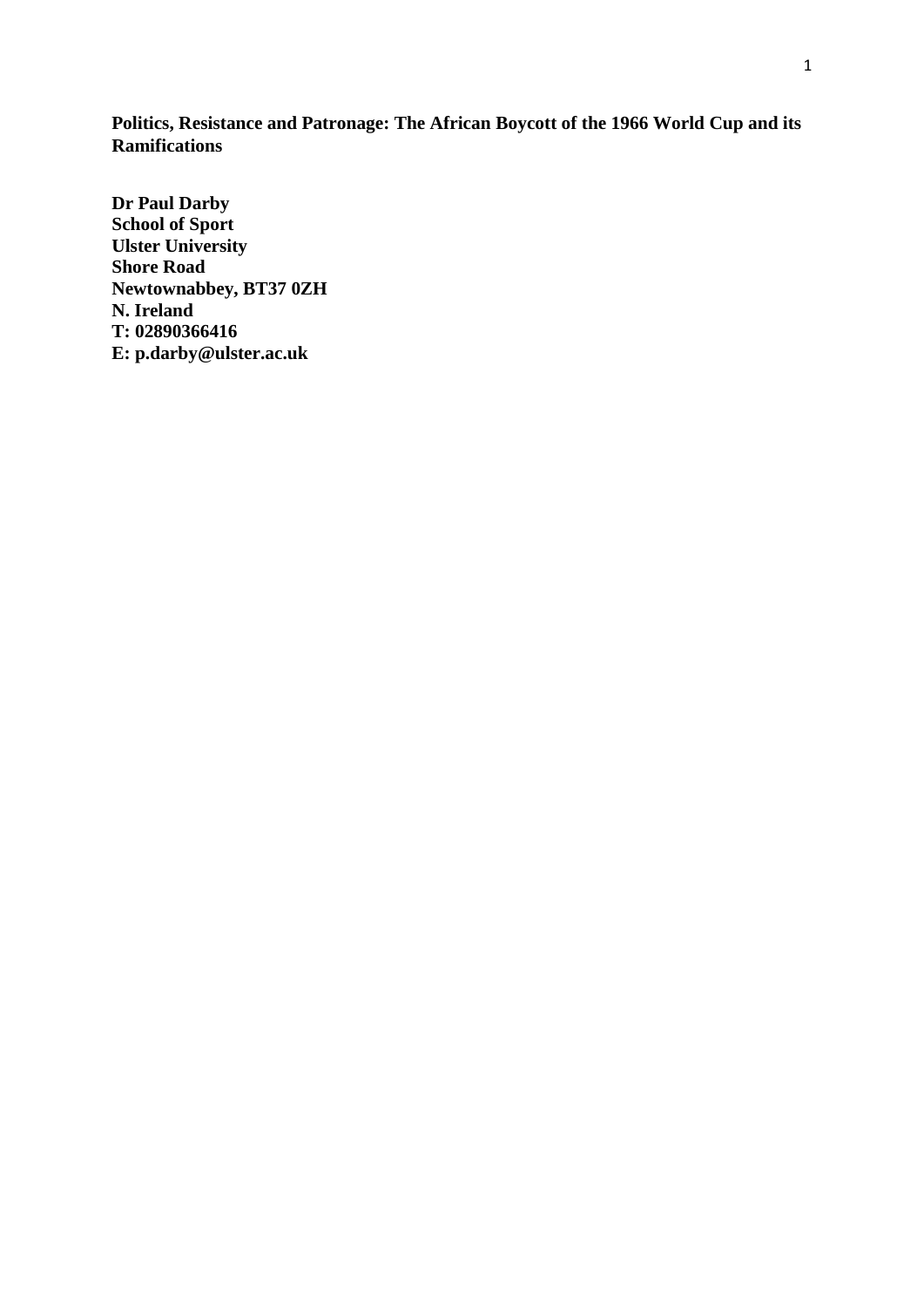**Politics, Resistance and Patronage: The African Boycott of the 1966 World Cup and its Ramifications**

**Dr Paul Darby School of Sport Ulster University Shore Road Newtownabbey, BT37 0ZH N. Ireland T: 02890366416 E: p.darby@ulster.ac.uk**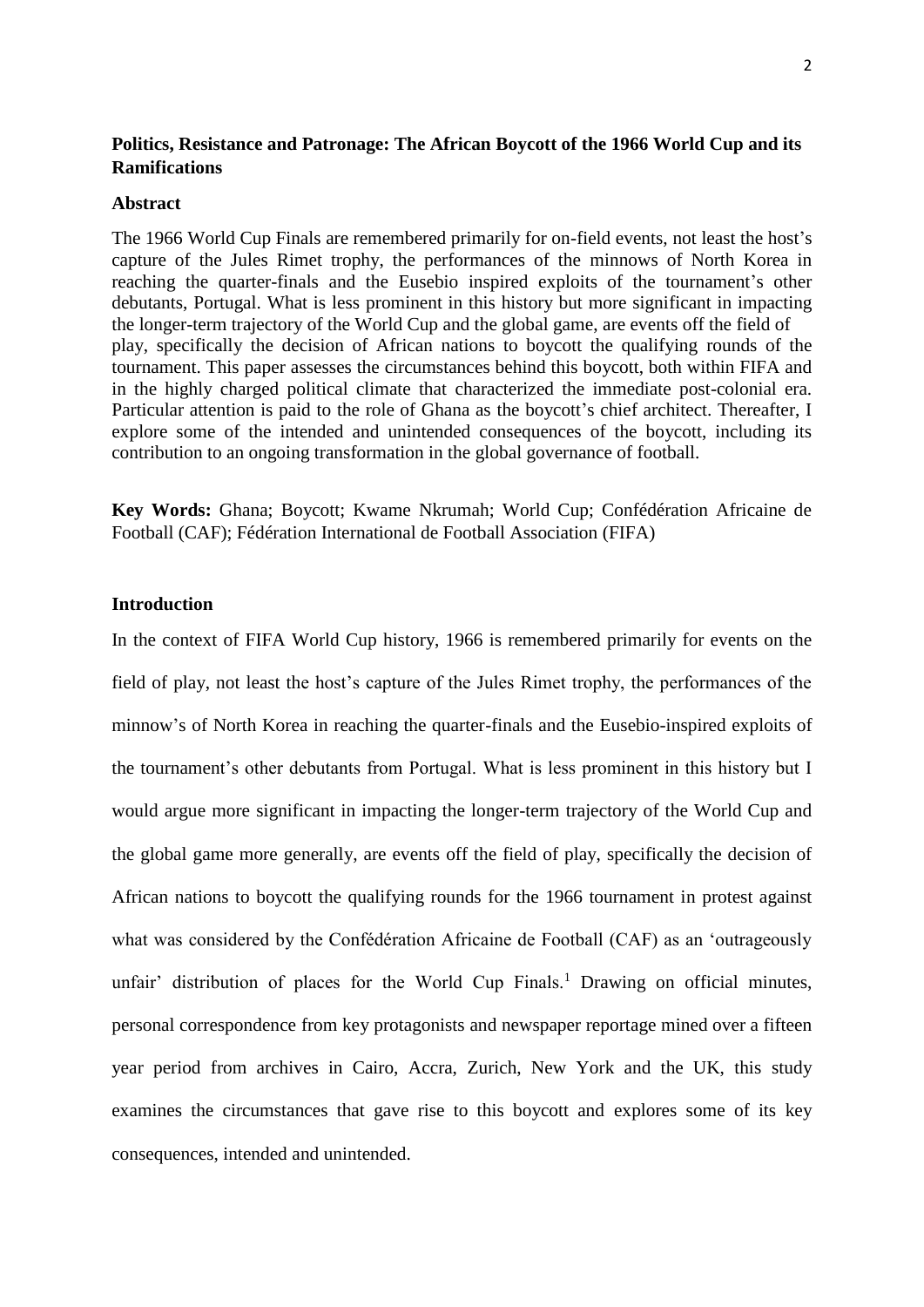# **Politics, Resistance and Patronage: The African Boycott of the 1966 World Cup and its Ramifications**

### **Abstract**

The 1966 World Cup Finals are remembered primarily for on-field events, not least the host's capture of the Jules Rimet trophy, the performances of the minnows of North Korea in reaching the quarter-finals and the Eusebio inspired exploits of the tournament's other debutants, Portugal. What is less prominent in this history but more significant in impacting the longer-term trajectory of the World Cup and the global game, are events off the field of play, specifically the decision of African nations to boycott the qualifying rounds of the tournament. This paper assesses the circumstances behind this boycott, both within FIFA and in the highly charged political climate that characterized the immediate post-colonial era. Particular attention is paid to the role of Ghana as the boycott's chief architect. Thereafter, I explore some of the intended and unintended consequences of the boycott, including its contribution to an ongoing transformation in the global governance of football.

**Key Words:** Ghana; Boycott; Kwame Nkrumah; World Cup; Confédération Africaine de Football (CAF); Fédération International de Football Association (FIFA)

# **Introduction**

In the context of FIFA World Cup history, 1966 is remembered primarily for events on the field of play, not least the host's capture of the Jules Rimet trophy, the performances of the minnow's of North Korea in reaching the quarter-finals and the Eusebio-inspired exploits of the tournament's other debutants from Portugal. What is less prominent in this history but I would argue more significant in impacting the longer-term trajectory of the World Cup and the global game more generally, are events off the field of play, specifically the decision of African nations to boycott the qualifying rounds for the 1966 tournament in protest against what was considered by the Confédération Africaine de Football (CAF) as an 'outrageously unfair' distribution of places for the World Cup Finals.<sup>1</sup> Drawing on official minutes, personal correspondence from key protagonists and newspaper reportage mined over a fifteen year period from archives in Cairo, Accra, Zurich, New York and the UK, this study examines the circumstances that gave rise to this boycott and explores some of its key consequences, intended and unintended.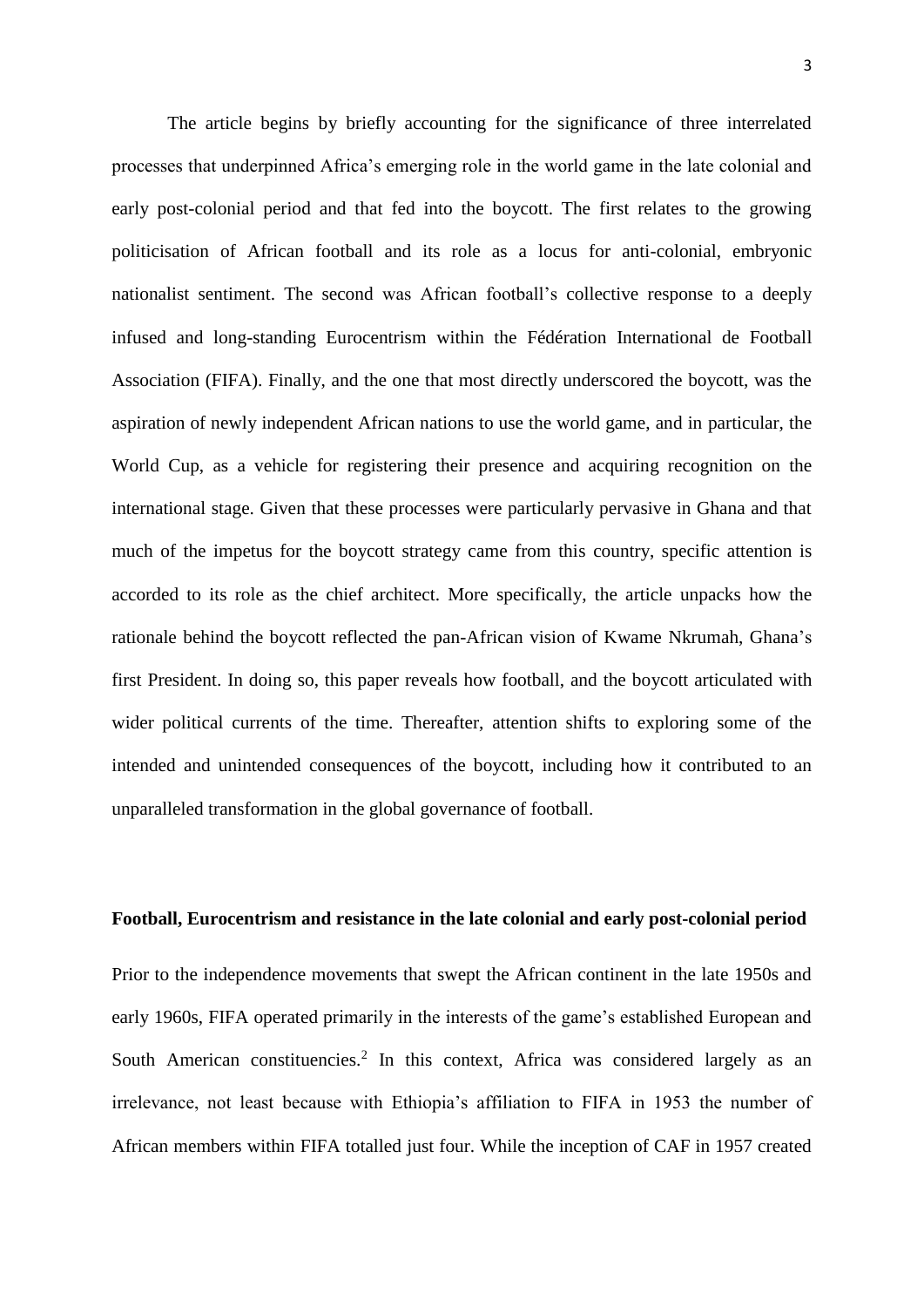The article begins by briefly accounting for the significance of three interrelated processes that underpinned Africa's emerging role in the world game in the late colonial and early post-colonial period and that fed into the boycott. The first relates to the growing politicisation of African football and its role as a locus for anti-colonial, embryonic nationalist sentiment. The second was African football's collective response to a deeply infused and long-standing Eurocentrism within the Fédération International de Football Association (FIFA). Finally, and the one that most directly underscored the boycott, was the aspiration of newly independent African nations to use the world game, and in particular, the World Cup, as a vehicle for registering their presence and acquiring recognition on the international stage. Given that these processes were particularly pervasive in Ghana and that much of the impetus for the boycott strategy came from this country, specific attention is accorded to its role as the chief architect. More specifically, the article unpacks how the rationale behind the boycott reflected the pan-African vision of Kwame Nkrumah, Ghana's first President. In doing so, this paper reveals how football, and the boycott articulated with wider political currents of the time. Thereafter, attention shifts to exploring some of the intended and unintended consequences of the boycott, including how it contributed to an unparalleled transformation in the global governance of football.

#### **Football, Eurocentrism and resistance in the late colonial and early post-colonial period**

Prior to the independence movements that swept the African continent in the late 1950s and early 1960s, FIFA operated primarily in the interests of the game's established European and South American constituencies.<sup>2</sup> In this context, Africa was considered largely as an irrelevance, not least because with Ethiopia's affiliation to FIFA in 1953 the number of African members within FIFA totalled just four. While the inception of CAF in 1957 created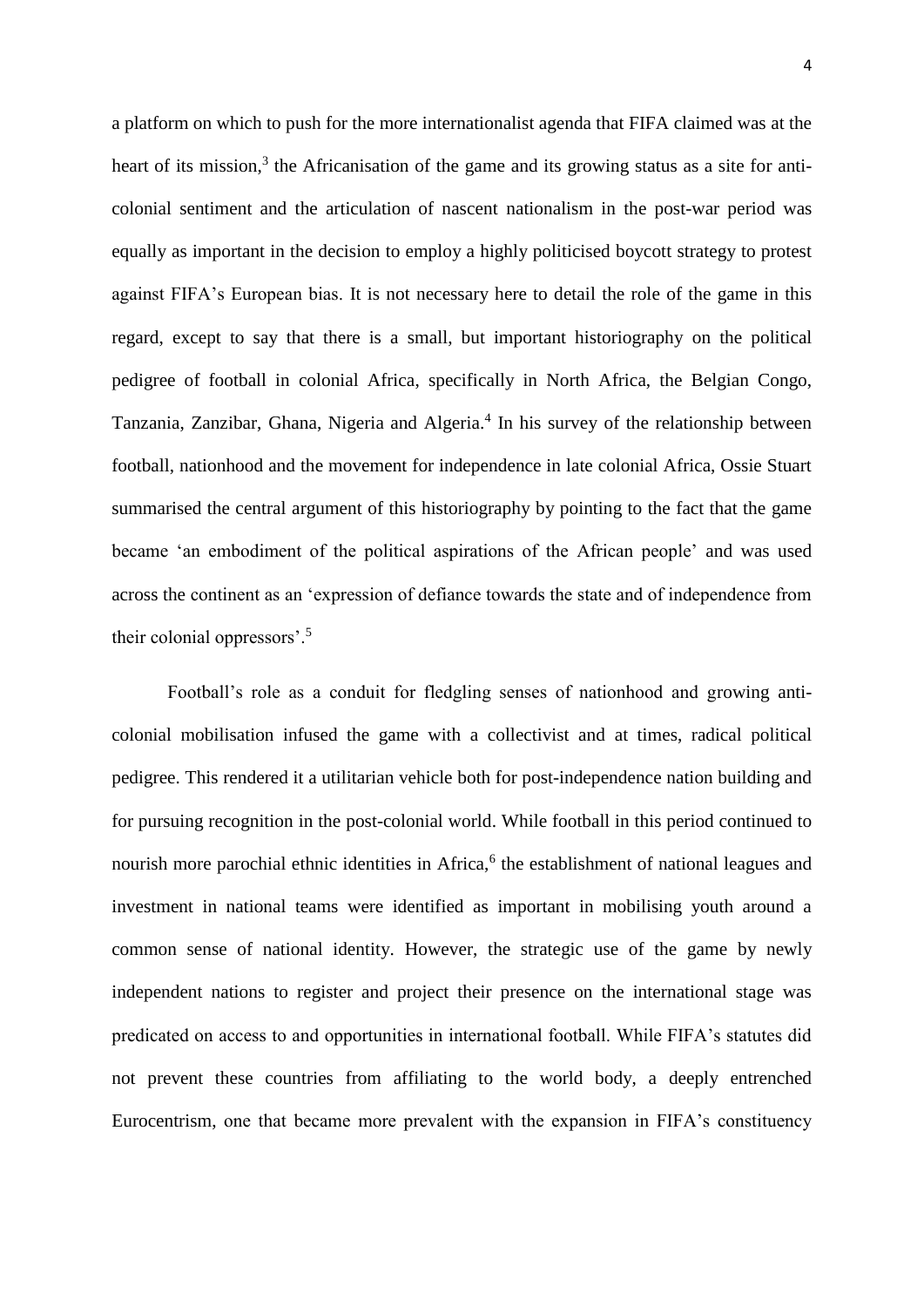a platform on which to push for the more internationalist agenda that FIFA claimed was at the heart of its mission,<sup>3</sup> the Africanisation of the game and its growing status as a site for anticolonial sentiment and the articulation of nascent nationalism in the post-war period was equally as important in the decision to employ a highly politicised boycott strategy to protest against FIFA's European bias. It is not necessary here to detail the role of the game in this regard, except to say that there is a small, but important historiography on the political pedigree of football in colonial Africa, specifically in North Africa, the Belgian Congo, Tanzania, Zanzibar, Ghana, Nigeria and Algeria.<sup>4</sup> In his survey of the relationship between football, nationhood and the movement for independence in late colonial Africa, Ossie Stuart summarised the central argument of this historiography by pointing to the fact that the game became 'an embodiment of the political aspirations of the African people' and was used across the continent as an 'expression of defiance towards the state and of independence from their colonial oppressors'.<sup>5</sup>

Football's role as a conduit for fledgling senses of nationhood and growing anticolonial mobilisation infused the game with a collectivist and at times, radical political pedigree. This rendered it a utilitarian vehicle both for post-independence nation building and for pursuing recognition in the post-colonial world. While football in this period continued to nourish more parochial ethnic identities in Africa,<sup>6</sup> the establishment of national leagues and investment in national teams were identified as important in mobilising youth around a common sense of national identity. However, the strategic use of the game by newly independent nations to register and project their presence on the international stage was predicated on access to and opportunities in international football. While FIFA's statutes did not prevent these countries from affiliating to the world body, a deeply entrenched Eurocentrism, one that became more prevalent with the expansion in FIFA's constituency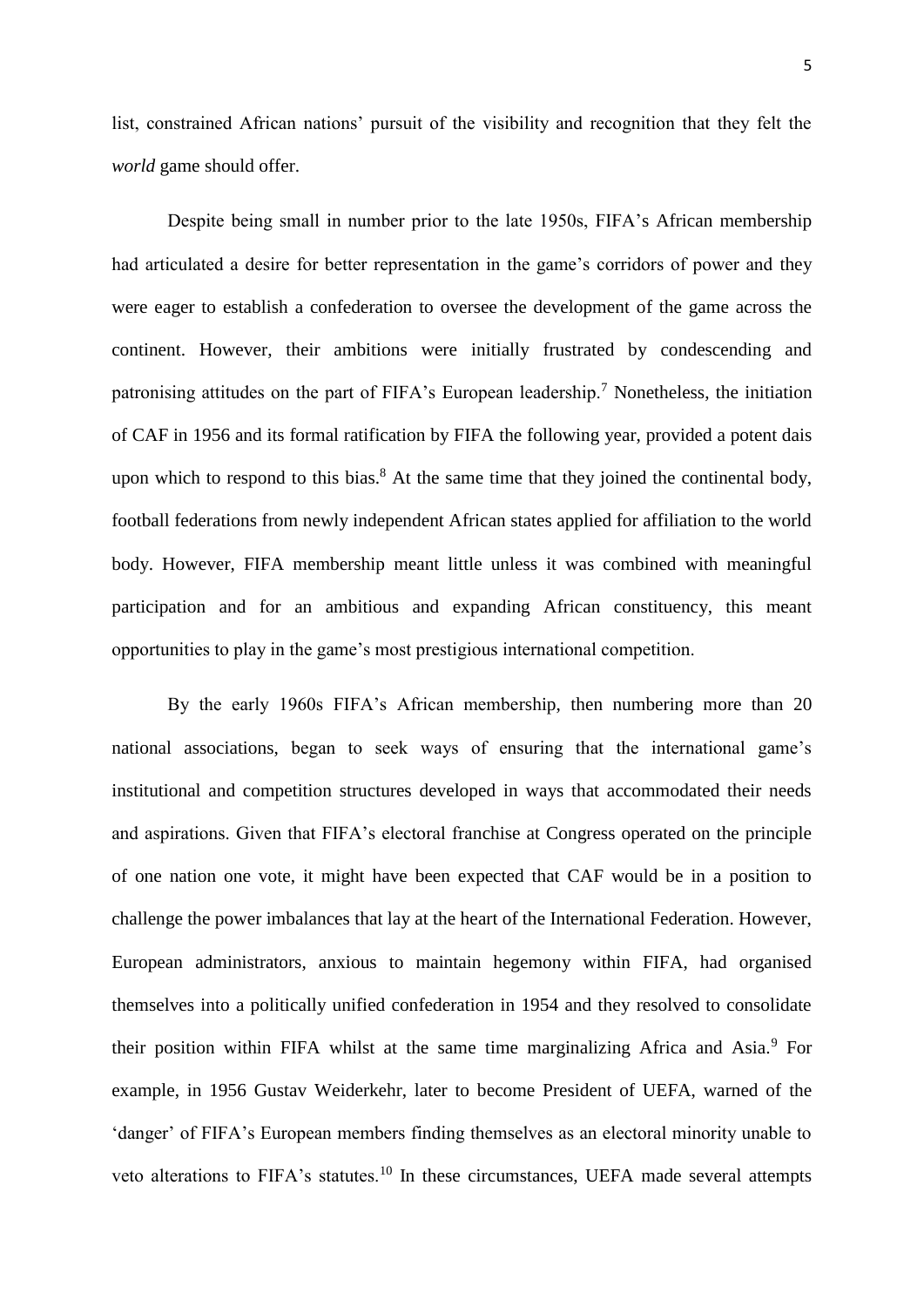list, constrained African nations' pursuit of the visibility and recognition that they felt the *world* game should offer.

Despite being small in number prior to the late 1950s, FIFA's African membership had articulated a desire for better representation in the game's corridors of power and they were eager to establish a confederation to oversee the development of the game across the continent. However, their ambitions were initially frustrated by condescending and patronising attitudes on the part of FIFA's European leadership.<sup>7</sup> Nonetheless, the initiation of CAF in 1956 and its formal ratification by FIFA the following year, provided a potent dais upon which to respond to this bias. $8$  At the same time that they joined the continental body, football federations from newly independent African states applied for affiliation to the world body. However, FIFA membership meant little unless it was combined with meaningful participation and for an ambitious and expanding African constituency, this meant opportunities to play in the game's most prestigious international competition.

By the early 1960s FIFA's African membership, then numbering more than 20 national associations, began to seek ways of ensuring that the international game's institutional and competition structures developed in ways that accommodated their needs and aspirations. Given that FIFA's electoral franchise at Congress operated on the principle of one nation one vote, it might have been expected that CAF would be in a position to challenge the power imbalances that lay at the heart of the International Federation. However, European administrators, anxious to maintain hegemony within FIFA, had organised themselves into a politically unified confederation in 1954 and they resolved to consolidate their position within FIFA whilst at the same time marginalizing Africa and Asia.<sup>9</sup> For example, in 1956 Gustav Weiderkehr, later to become President of UEFA, warned of the 'danger' of FIFA's European members finding themselves as an electoral minority unable to veto alterations to FIFA's statutes.<sup>10</sup> In these circumstances, UEFA made several attempts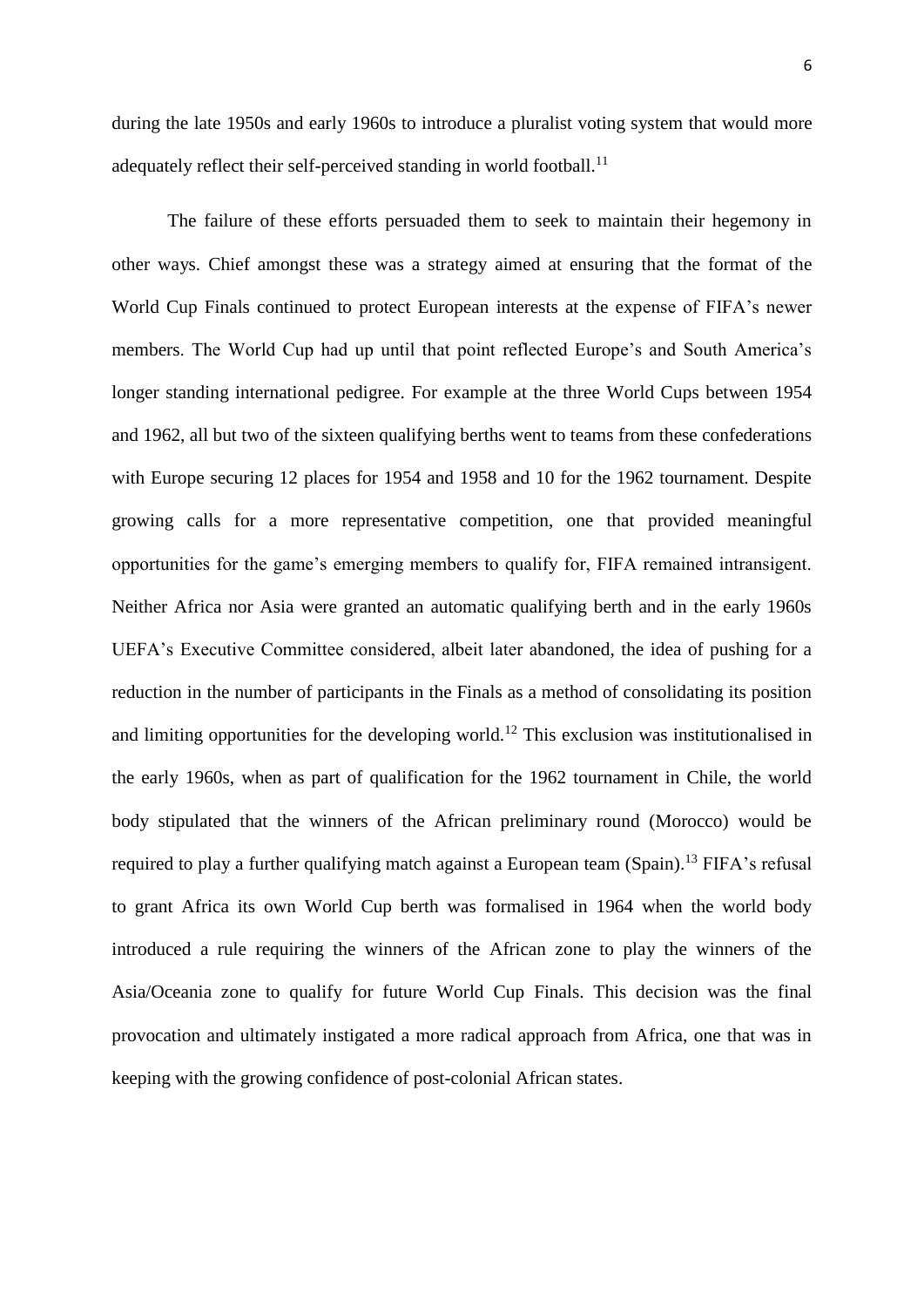during the late 1950s and early 1960s to introduce a pluralist voting system that would more adequately reflect their self-perceived standing in world football.<sup>11</sup>

The failure of these efforts persuaded them to seek to maintain their hegemony in other ways. Chief amongst these was a strategy aimed at ensuring that the format of the World Cup Finals continued to protect European interests at the expense of FIFA's newer members. The World Cup had up until that point reflected Europe's and South America's longer standing international pedigree. For example at the three World Cups between 1954 and 1962, all but two of the sixteen qualifying berths went to teams from these confederations with Europe securing 12 places for 1954 and 1958 and 10 for the 1962 tournament. Despite growing calls for a more representative competition, one that provided meaningful opportunities for the game's emerging members to qualify for, FIFA remained intransigent. Neither Africa nor Asia were granted an automatic qualifying berth and in the early 1960s UEFA's Executive Committee considered, albeit later abandoned, the idea of pushing for a reduction in the number of participants in the Finals as a method of consolidating its position and limiting opportunities for the developing world.<sup>12</sup> This exclusion was institutionalised in the early 1960s, when as part of qualification for the 1962 tournament in Chile, the world body stipulated that the winners of the African preliminary round (Morocco) would be required to play a further qualifying match against a European team (Spain).<sup>13</sup> FIFA's refusal to grant Africa its own World Cup berth was formalised in 1964 when the world body introduced a rule requiring the winners of the African zone to play the winners of the Asia/Oceania zone to qualify for future World Cup Finals. This decision was the final provocation and ultimately instigated a more radical approach from Africa, one that was in keeping with the growing confidence of post-colonial African states.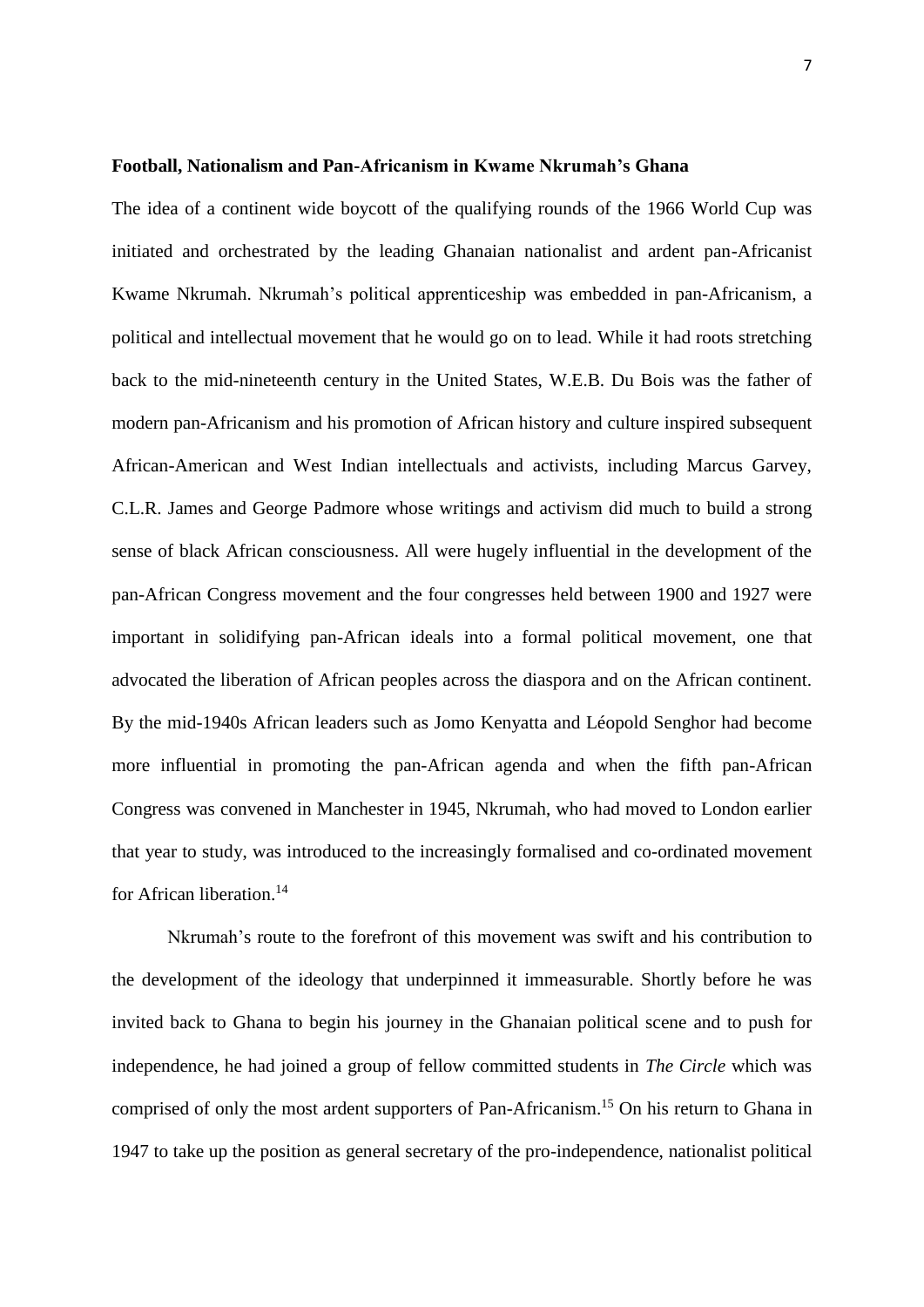#### **Football, Nationalism and Pan-Africanism in Kwame Nkrumah's Ghana**

The idea of a continent wide boycott of the qualifying rounds of the 1966 World Cup was initiated and orchestrated by the leading Ghanaian nationalist and ardent pan-Africanist Kwame Nkrumah. Nkrumah's political apprenticeship was embedded in pan-Africanism, a political and intellectual movement that he would go on to lead. While it had roots stretching back to the mid-nineteenth century in the United States, W.E.B. Du Bois was the father of modern pan-Africanism and his promotion of African history and culture inspired subsequent African-American and West Indian intellectuals and activists, including Marcus Garvey, C.L.R. James and George Padmore whose writings and activism did much to build a strong sense of black African consciousness. All were hugely influential in the development of the pan-African Congress movement and the four congresses held between 1900 and 1927 were important in solidifying pan-African ideals into a formal political movement, one that advocated the liberation of African peoples across the diaspora and on the African continent. By the mid-1940s African leaders such as Jomo Kenyatta and Léopold Senghor had become more influential in promoting the pan-African agenda and when the fifth pan-African Congress was convened in Manchester in 1945, Nkrumah, who had moved to London earlier that year to study, was introduced to the increasingly formalised and co-ordinated movement for African liberation.<sup>14</sup>

Nkrumah's route to the forefront of this movement was swift and his contribution to the development of the ideology that underpinned it immeasurable. Shortly before he was invited back to Ghana to begin his journey in the Ghanaian political scene and to push for independence, he had joined a group of fellow committed students in *The Circle* which was comprised of only the most ardent supporters of Pan-Africanism.<sup>15</sup> On his return to Ghana in 1947 to take up the position as general secretary of the pro-independence, nationalist political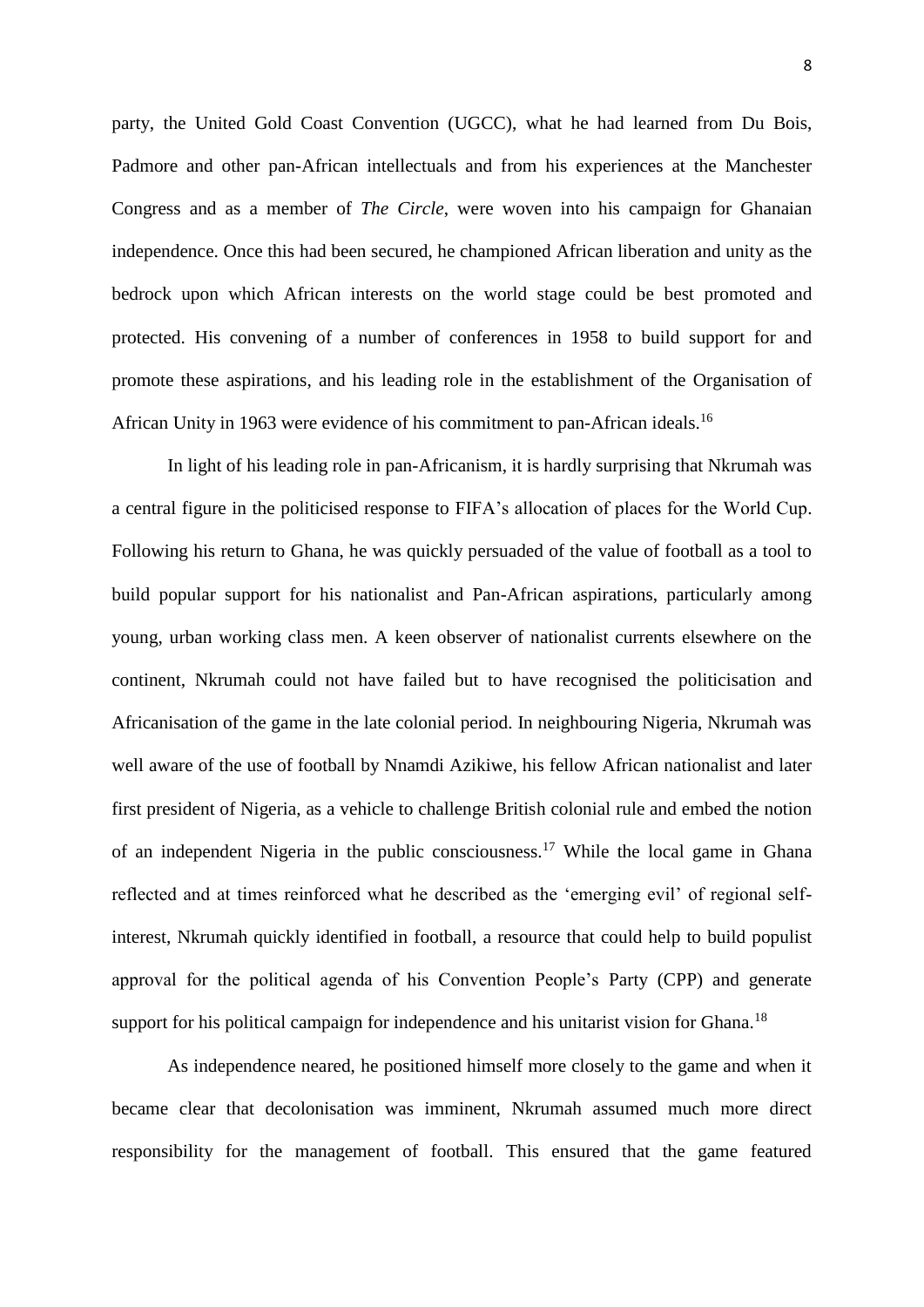party, the United Gold Coast Convention (UGCC), what he had learned from Du Bois, Padmore and other pan-African intellectuals and from his experiences at the Manchester Congress and as a member of *The Circle*, were woven into his campaign for Ghanaian independence. Once this had been secured, he championed African liberation and unity as the bedrock upon which African interests on the world stage could be best promoted and protected. His convening of a number of conferences in 1958 to build support for and promote these aspirations, and his leading role in the establishment of the Organisation of African Unity in 1963 were evidence of his commitment to pan-African ideals.<sup>16</sup>

In light of his leading role in pan-Africanism, it is hardly surprising that Nkrumah was a central figure in the politicised response to FIFA's allocation of places for the World Cup. Following his return to Ghana, he was quickly persuaded of the value of football as a tool to build popular support for his nationalist and Pan-African aspirations, particularly among young, urban working class men. A keen observer of nationalist currents elsewhere on the continent, Nkrumah could not have failed but to have recognised the politicisation and Africanisation of the game in the late colonial period. In neighbouring Nigeria, Nkrumah was well aware of the use of football by Nnamdi Azikiwe, his fellow African nationalist and later first president of Nigeria, as a vehicle to challenge British colonial rule and embed the notion of an independent Nigeria in the public consciousness.<sup>17</sup> While the local game in Ghana reflected and at times reinforced what he described as the 'emerging evil' of regional selfinterest, Nkrumah quickly identified in football, a resource that could help to build populist approval for the political agenda of his Convention People's Party (CPP) and generate support for his political campaign for independence and his unitarist vision for Ghana.<sup>18</sup>

As independence neared, he positioned himself more closely to the game and when it became clear that decolonisation was imminent, Nkrumah assumed much more direct responsibility for the management of football. This ensured that the game featured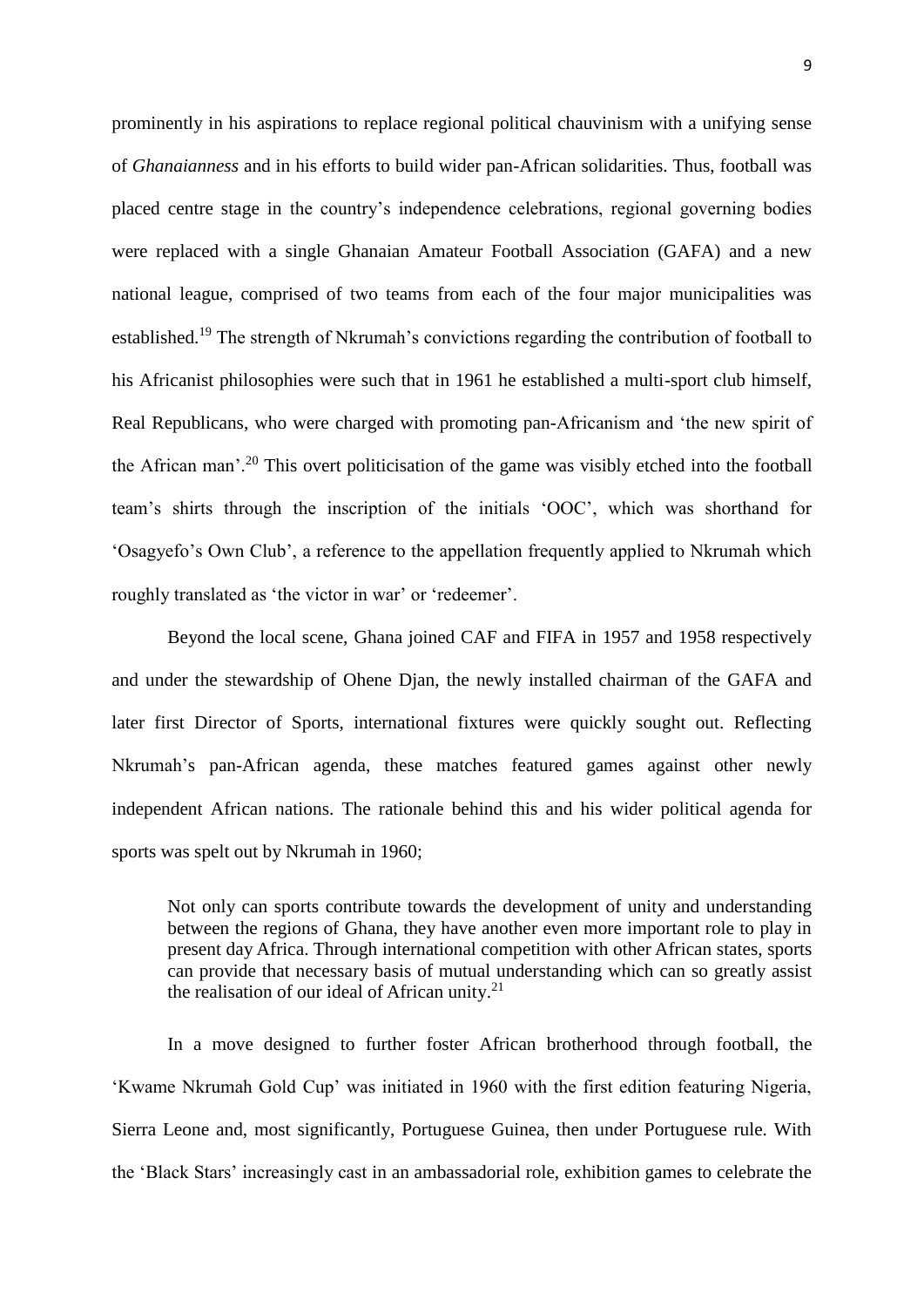prominently in his aspirations to replace regional political chauvinism with a unifying sense of *Ghanaianness* and in his efforts to build wider pan-African solidarities. Thus, football was placed centre stage in the country's independence celebrations, regional governing bodies were replaced with a single Ghanaian Amateur Football Association (GAFA) and a new national league, comprised of two teams from each of the four major municipalities was established.<sup>19</sup> The strength of Nkrumah's convictions regarding the contribution of football to his Africanist philosophies were such that in 1961 he established a multi-sport club himself, Real Republicans, who were charged with promoting pan-Africanism and 'the new spirit of the African man'.<sup>20</sup> This overt politicisation of the game was visibly etched into the football team's shirts through the inscription of the initials 'OOC', which was shorthand for 'Osagyefo's Own Club', a reference to the appellation frequently applied to Nkrumah which roughly translated as 'the victor in war' or 'redeemer'.

Beyond the local scene, Ghana joined CAF and FIFA in 1957 and 1958 respectively and under the stewardship of Ohene Djan, the newly installed chairman of the GAFA and later first Director of Sports, international fixtures were quickly sought out. Reflecting Nkrumah's pan-African agenda, these matches featured games against other newly independent African nations. The rationale behind this and his wider political agenda for sports was spelt out by Nkrumah in 1960;

Not only can sports contribute towards the development of unity and understanding between the regions of Ghana, they have another even more important role to play in present day Africa. Through international competition with other African states, sports can provide that necessary basis of mutual understanding which can so greatly assist the realisation of our ideal of African unity. $21$ 

In a move designed to further foster African brotherhood through football, the 'Kwame Nkrumah Gold Cup' was initiated in 1960 with the first edition featuring Nigeria, Sierra Leone and, most significantly, Portuguese Guinea, then under Portuguese rule. With the 'Black Stars' increasingly cast in an ambassadorial role, exhibition games to celebrate the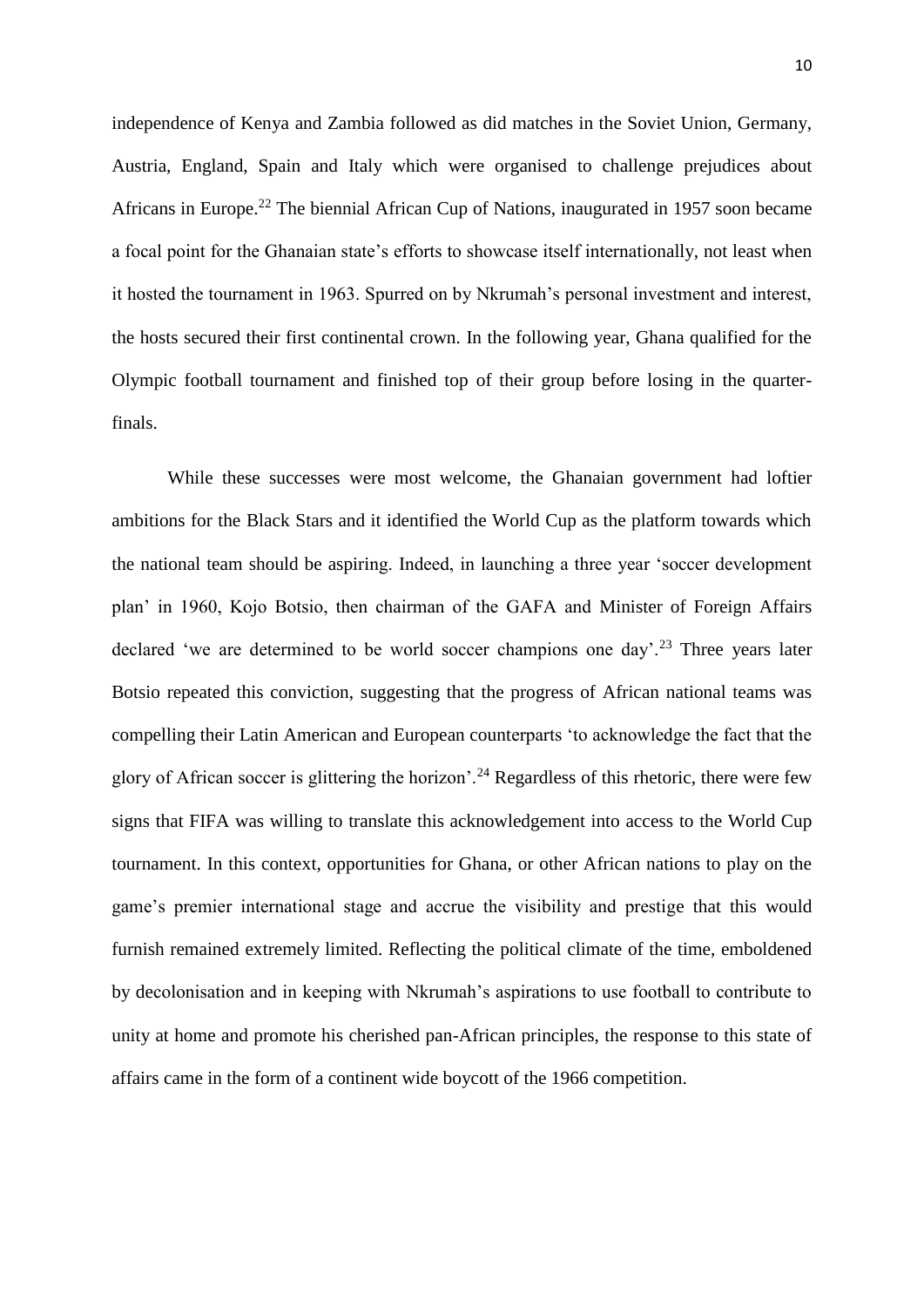independence of Kenya and Zambia followed as did matches in the Soviet Union, Germany, Austria, England, Spain and Italy which were organised to challenge prejudices about Africans in Europe.<sup>22</sup> The biennial African Cup of Nations, inaugurated in 1957 soon became a focal point for the Ghanaian state's efforts to showcase itself internationally, not least when it hosted the tournament in 1963. Spurred on by Nkrumah's personal investment and interest, the hosts secured their first continental crown. In the following year, Ghana qualified for the Olympic football tournament and finished top of their group before losing in the quarterfinals.

While these successes were most welcome, the Ghanaian government had loftier ambitions for the Black Stars and it identified the World Cup as the platform towards which the national team should be aspiring. Indeed, in launching a three year 'soccer development plan' in 1960, Kojo Botsio, then chairman of the GAFA and Minister of Foreign Affairs declared 'we are determined to be world soccer champions one day'.<sup>23</sup> Three years later Botsio repeated this conviction, suggesting that the progress of African national teams was compelling their Latin American and European counterparts 'to acknowledge the fact that the glory of African soccer is glittering the horizon'.<sup>24</sup> Regardless of this rhetoric, there were few signs that FIFA was willing to translate this acknowledgement into access to the World Cup tournament. In this context, opportunities for Ghana, or other African nations to play on the game's premier international stage and accrue the visibility and prestige that this would furnish remained extremely limited. Reflecting the political climate of the time, emboldened by decolonisation and in keeping with Nkrumah's aspirations to use football to contribute to unity at home and promote his cherished pan-African principles, the response to this state of affairs came in the form of a continent wide boycott of the 1966 competition.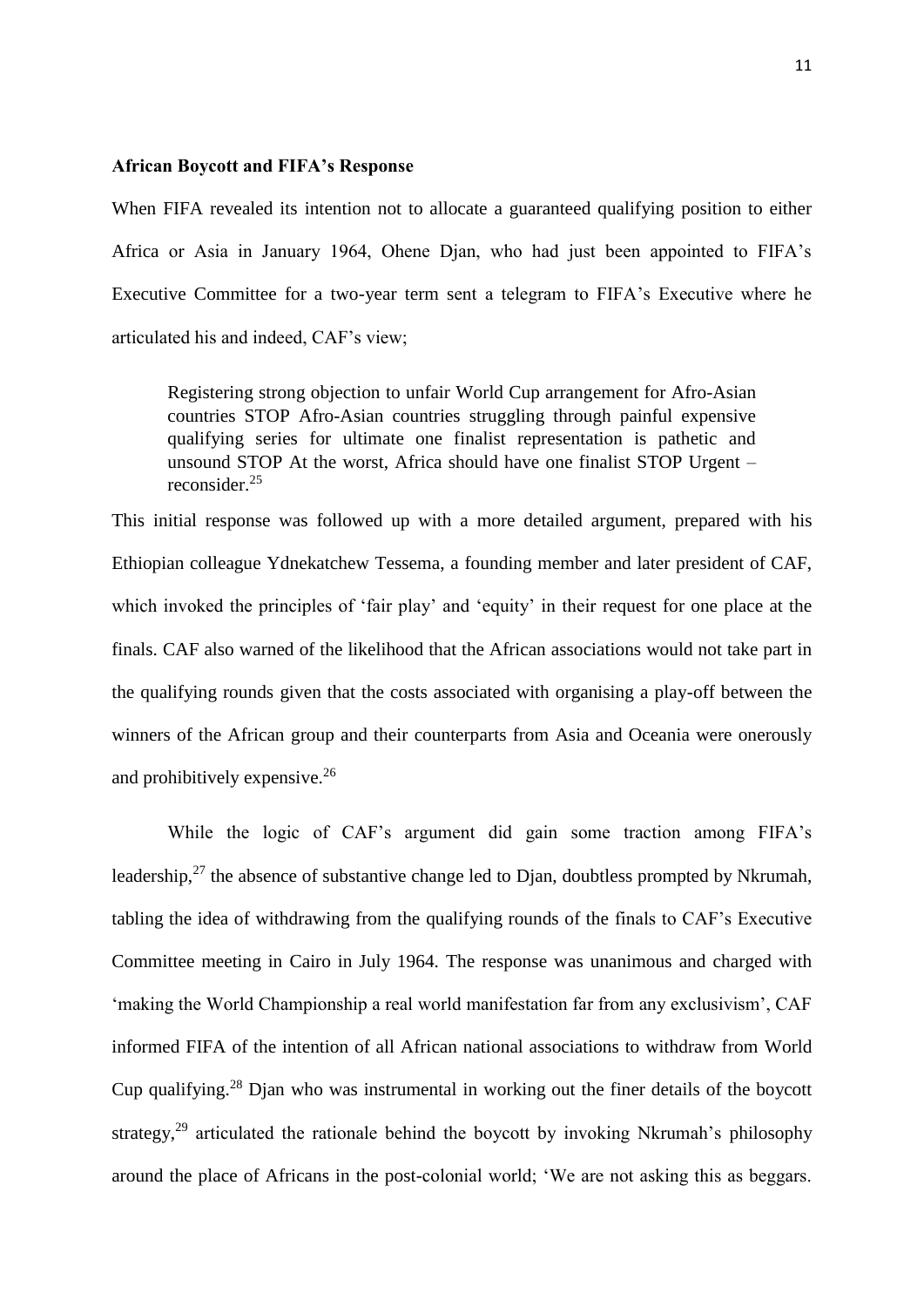#### **African Boycott and FIFA's Response**

When FIFA revealed its intention not to allocate a guaranteed qualifying position to either Africa or Asia in January 1964, Ohene Djan, who had just been appointed to FIFA's Executive Committee for a two-year term sent a telegram to FIFA's Executive where he articulated his and indeed, CAF's view;

Registering strong objection to unfair World Cup arrangement for Afro-Asian countries STOP Afro-Asian countries struggling through painful expensive qualifying series for ultimate one finalist representation is pathetic and unsound STOP At the worst, Africa should have one finalist STOP Urgent – reconsider.<sup>25</sup>

This initial response was followed up with a more detailed argument, prepared with his Ethiopian colleague Ydnekatchew Tessema, a founding member and later president of CAF, which invoked the principles of 'fair play' and 'equity' in their request for one place at the finals. CAF also warned of the likelihood that the African associations would not take part in the qualifying rounds given that the costs associated with organising a play-off between the winners of the African group and their counterparts from Asia and Oceania were onerously and prohibitively expensive.<sup>26</sup>

While the logic of CAF's argument did gain some traction among FIFA's leadership, $27$  the absence of substantive change led to Djan, doubtless prompted by Nkrumah, tabling the idea of withdrawing from the qualifying rounds of the finals to CAF's Executive Committee meeting in Cairo in July 1964. The response was unanimous and charged with 'making the World Championship a real world manifestation far from any exclusivism', CAF informed FIFA of the intention of all African national associations to withdraw from World Cup qualifying. <sup>28</sup> Djan who was instrumental in working out the finer details of the boycott strategy,<sup>29</sup> articulated the rationale behind the boycott by invoking Nkrumah's philosophy around the place of Africans in the post-colonial world; 'We are not asking this as beggars.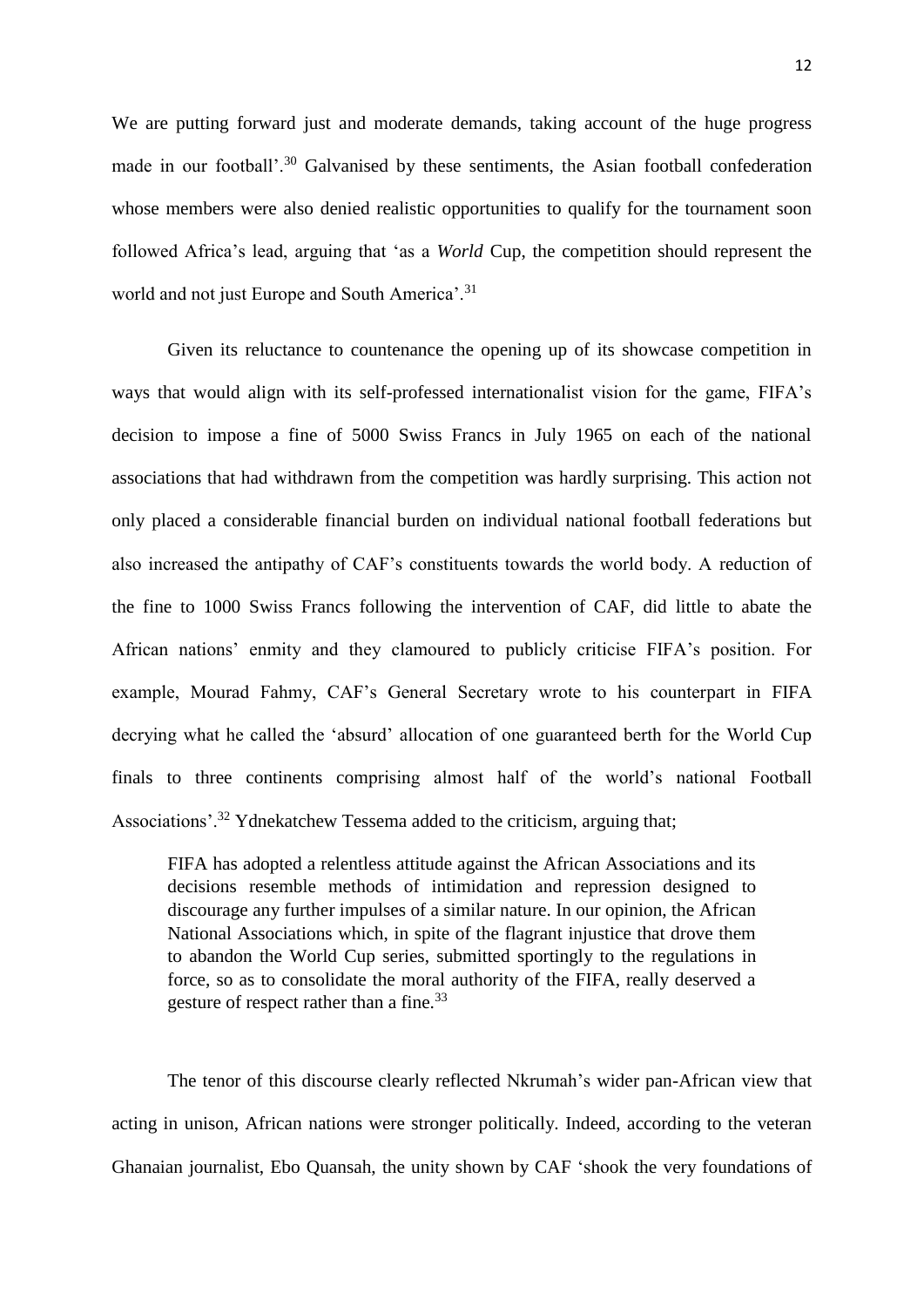We are putting forward just and moderate demands, taking account of the huge progress made in our football'.<sup>30</sup> Galvanised by these sentiments, the Asian football confederation whose members were also denied realistic opportunities to qualify for the tournament soon followed Africa's lead, arguing that 'as a *World* Cup, the competition should represent the world and not just Europe and South America'.<sup>31</sup>

Given its reluctance to countenance the opening up of its showcase competition in ways that would align with its self-professed internationalist vision for the game, FIFA's decision to impose a fine of 5000 Swiss Francs in July 1965 on each of the national associations that had withdrawn from the competition was hardly surprising. This action not only placed a considerable financial burden on individual national football federations but also increased the antipathy of CAF's constituents towards the world body. A reduction of the fine to 1000 Swiss Francs following the intervention of CAF, did little to abate the African nations' enmity and they clamoured to publicly criticise FIFA's position. For example, Mourad Fahmy, CAF's General Secretary wrote to his counterpart in FIFA decrying what he called the 'absurd' allocation of one guaranteed berth for the World Cup finals to three continents comprising almost half of the world's national Football Associations'.<sup>32</sup> Ydnekatchew Tessema added to the criticism, arguing that;

FIFA has adopted a relentless attitude against the African Associations and its decisions resemble methods of intimidation and repression designed to discourage any further impulses of a similar nature. In our opinion, the African National Associations which, in spite of the flagrant injustice that drove them to abandon the World Cup series, submitted sportingly to the regulations in force, so as to consolidate the moral authority of the FIFA, really deserved a gesture of respect rather than a fine.<sup>33</sup>

The tenor of this discourse clearly reflected Nkrumah's wider pan-African view that acting in unison, African nations were stronger politically. Indeed, according to the veteran Ghanaian journalist, Ebo Quansah, the unity shown by CAF 'shook the very foundations of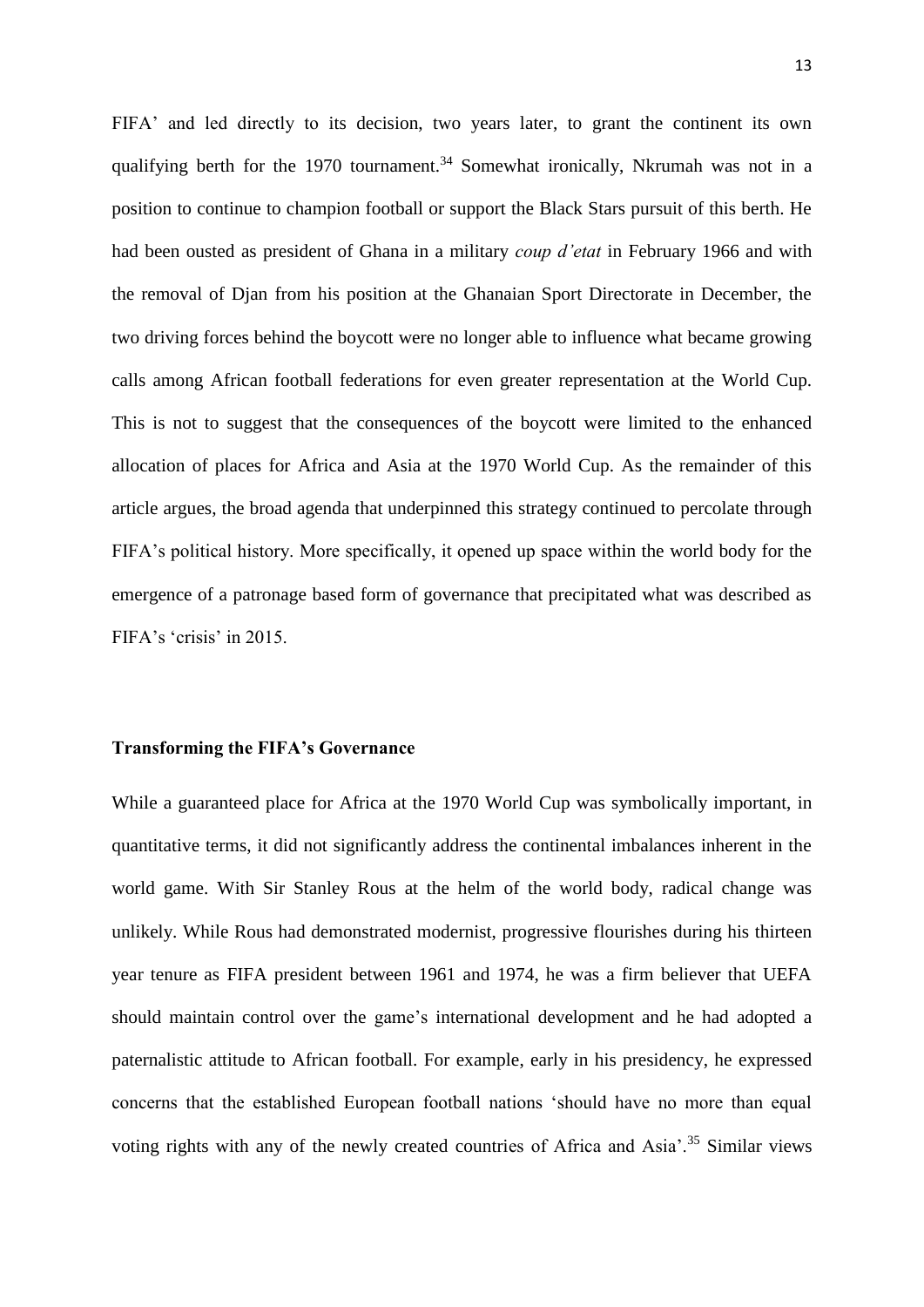FIFA' and led directly to its decision, two years later, to grant the continent its own qualifying berth for the 1970 tournament.<sup>34</sup> Somewhat ironically, Nkrumah was not in a position to continue to champion football or support the Black Stars pursuit of this berth. He had been ousted as president of Ghana in a military *coup d'etat* in February 1966 and with the removal of Djan from his position at the Ghanaian Sport Directorate in December, the two driving forces behind the boycott were no longer able to influence what became growing calls among African football federations for even greater representation at the World Cup. This is not to suggest that the consequences of the boycott were limited to the enhanced allocation of places for Africa and Asia at the 1970 World Cup. As the remainder of this article argues, the broad agenda that underpinned this strategy continued to percolate through FIFA's political history. More specifically, it opened up space within the world body for the emergence of a patronage based form of governance that precipitated what was described as FIFA's 'crisis' in 2015.

### **Transforming the FIFA's Governance**

While a guaranteed place for Africa at the 1970 World Cup was symbolically important, in quantitative terms, it did not significantly address the continental imbalances inherent in the world game. With Sir Stanley Rous at the helm of the world body, radical change was unlikely. While Rous had demonstrated modernist, progressive flourishes during his thirteen year tenure as FIFA president between 1961 and 1974, he was a firm believer that UEFA should maintain control over the game's international development and he had adopted a paternalistic attitude to African football. For example, early in his presidency, he expressed concerns that the established European football nations 'should have no more than equal voting rights with any of the newly created countries of Africa and Asia'.<sup>35</sup> Similar views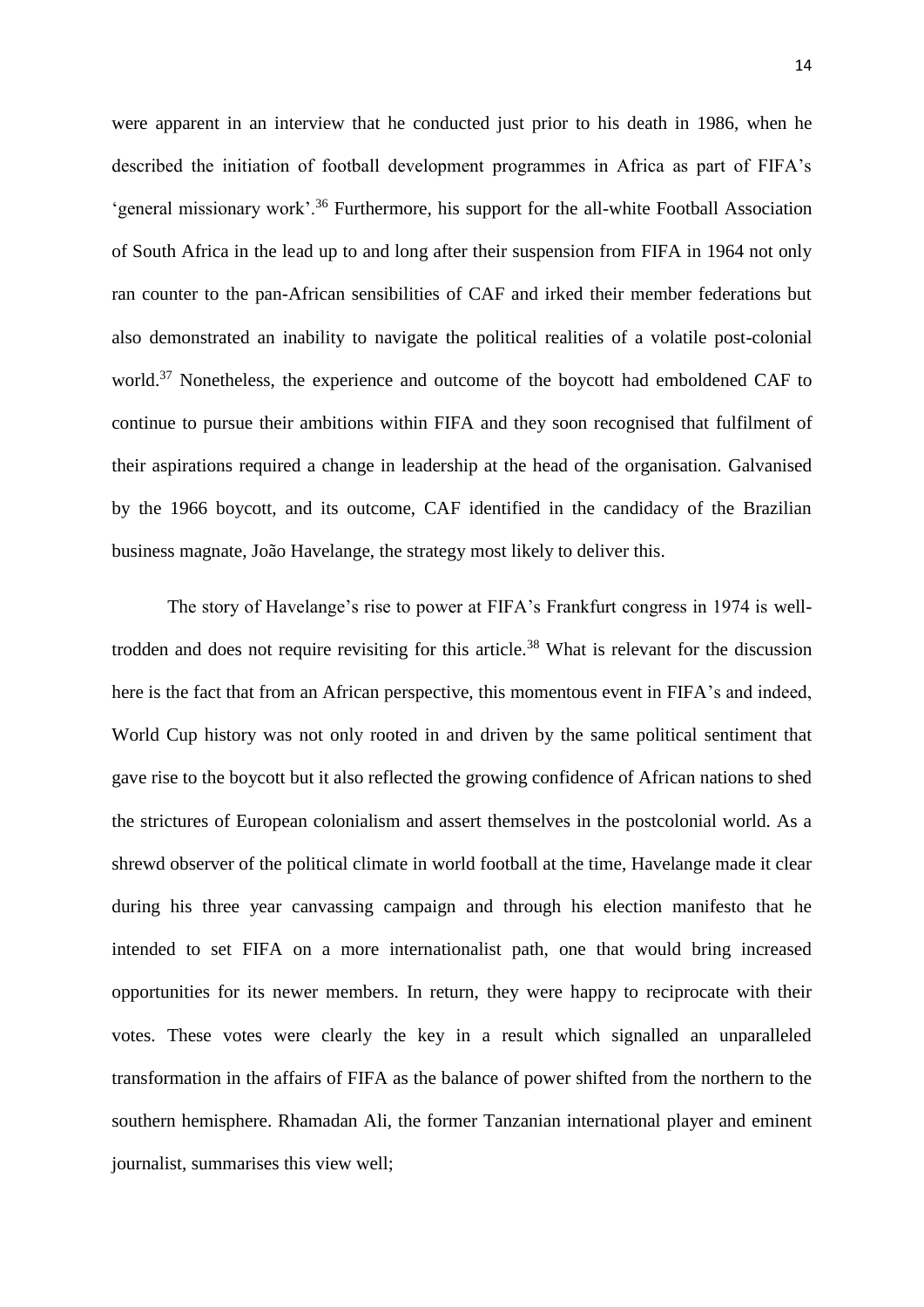were apparent in an interview that he conducted just prior to his death in 1986, when he described the initiation of football development programmes in Africa as part of FIFA's 'general missionary work'.<sup>36</sup> Furthermore, his support for the all-white Football Association of South Africa in the lead up to and long after their suspension from FIFA in 1964 not only ran counter to the pan-African sensibilities of CAF and irked their member federations but also demonstrated an inability to navigate the political realities of a volatile post-colonial world.<sup>37</sup> Nonetheless, the experience and outcome of the boycott had emboldened CAF to continue to pursue their ambitions within FIFA and they soon recognised that fulfilment of their aspirations required a change in leadership at the head of the organisation. Galvanised by the 1966 boycott, and its outcome, CAF identified in the candidacy of the Brazilian business magnate, João Havelange, the strategy most likely to deliver this.

The story of Havelange's rise to power at FIFA's Frankfurt congress in 1974 is welltrodden and does not require revisiting for this article.<sup>38</sup> What is relevant for the discussion here is the fact that from an African perspective, this momentous event in FIFA's and indeed, World Cup history was not only rooted in and driven by the same political sentiment that gave rise to the boycott but it also reflected the growing confidence of African nations to shed the strictures of European colonialism and assert themselves in the postcolonial world. As a shrewd observer of the political climate in world football at the time, Havelange made it clear during his three year canvassing campaign and through his election manifesto that he intended to set FIFA on a more internationalist path, one that would bring increased opportunities for its newer members. In return, they were happy to reciprocate with their votes. These votes were clearly the key in a result which signalled an unparalleled transformation in the affairs of FIFA as the balance of power shifted from the northern to the southern hemisphere. Rhamadan Ali, the former Tanzanian international player and eminent journalist, summarises this view well;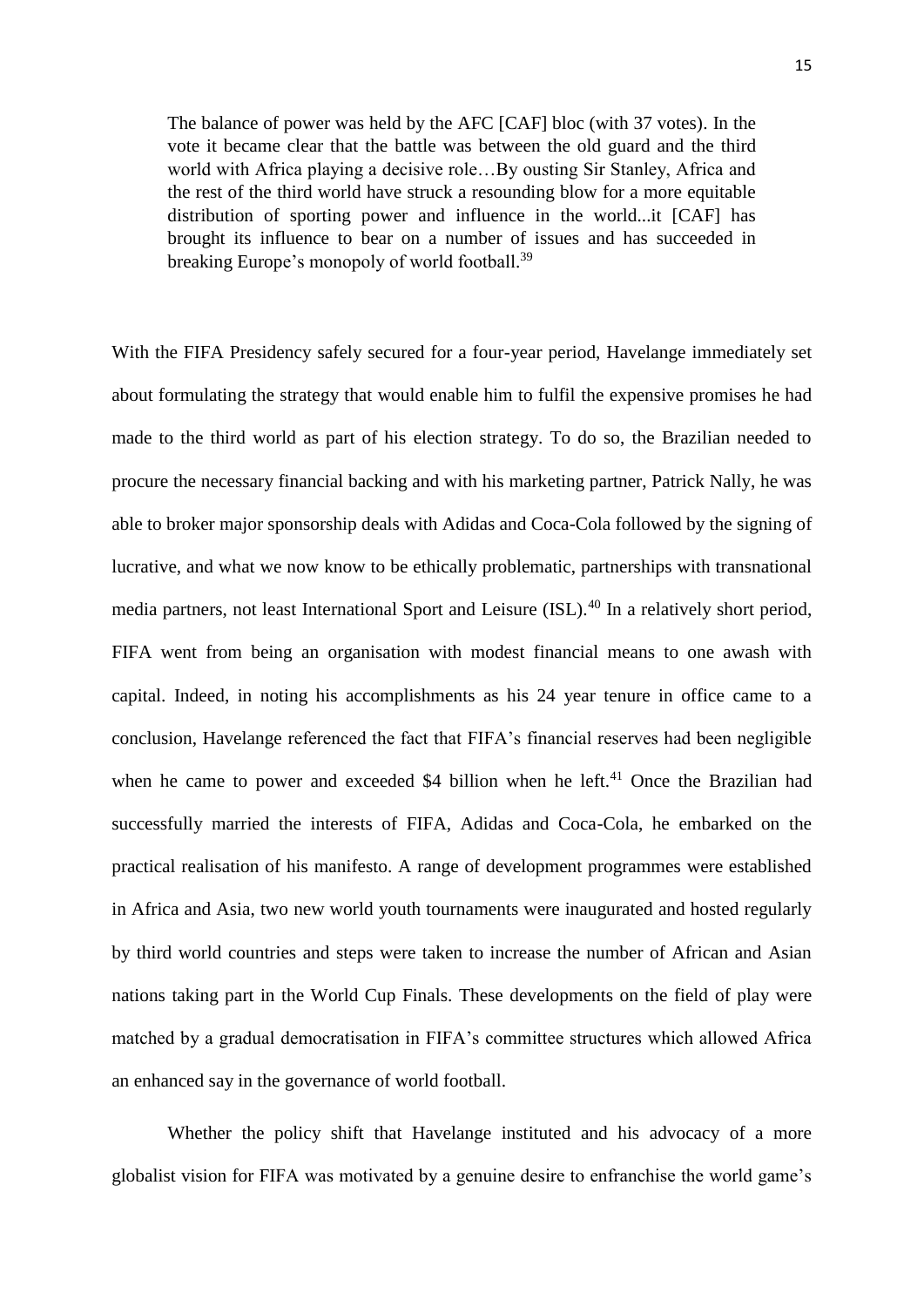The balance of power was held by the AFC [CAF] bloc (with 37 votes). In the vote it became clear that the battle was between the old guard and the third world with Africa playing a decisive role…By ousting Sir Stanley, Africa and the rest of the third world have struck a resounding blow for a more equitable distribution of sporting power and influence in the world...it [CAF] has brought its influence to bear on a number of issues and has succeeded in breaking Europe's monopoly of world football.<sup>39</sup>

With the FIFA Presidency safely secured for a four-year period, Havelange immediately set about formulating the strategy that would enable him to fulfil the expensive promises he had made to the third world as part of his election strategy. To do so, the Brazilian needed to procure the necessary financial backing and with his marketing partner, Patrick Nally, he was able to broker major sponsorship deals with Adidas and Coca-Cola followed by the signing of lucrative, and what we now know to be ethically problematic, partnerships with transnational media partners, not least International Sport and Leisure (ISL).<sup>40</sup> In a relatively short period, FIFA went from being an organisation with modest financial means to one awash with capital. Indeed, in noting his accomplishments as his 24 year tenure in office came to a conclusion, Havelange referenced the fact that FIFA's financial reserves had been negligible when he came to power and exceeded \$4 billion when he left.<sup>41</sup> Once the Brazilian had successfully married the interests of FIFA, Adidas and Coca-Cola, he embarked on the practical realisation of his manifesto. A range of development programmes were established in Africa and Asia, two new world youth tournaments were inaugurated and hosted regularly by third world countries and steps were taken to increase the number of African and Asian nations taking part in the World Cup Finals. These developments on the field of play were matched by a gradual democratisation in FIFA's committee structures which allowed Africa an enhanced say in the governance of world football.

Whether the policy shift that Havelange instituted and his advocacy of a more globalist vision for FIFA was motivated by a genuine desire to enfranchise the world game's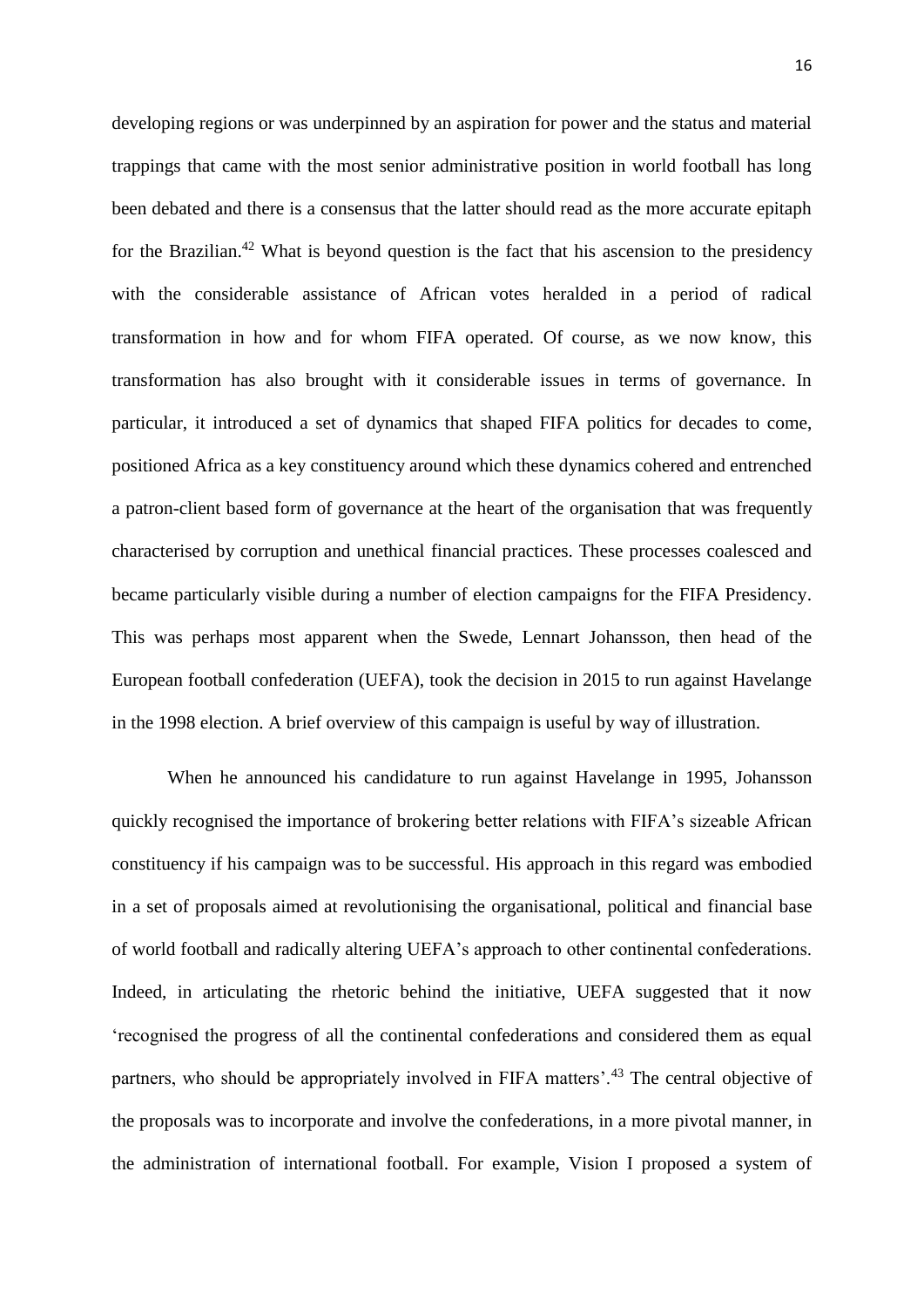developing regions or was underpinned by an aspiration for power and the status and material trappings that came with the most senior administrative position in world football has long been debated and there is a consensus that the latter should read as the more accurate epitaph for the Brazilian. $42$  What is beyond question is the fact that his ascension to the presidency with the considerable assistance of African votes heralded in a period of radical transformation in how and for whom FIFA operated. Of course, as we now know, this transformation has also brought with it considerable issues in terms of governance. In particular, it introduced a set of dynamics that shaped FIFA politics for decades to come, positioned Africa as a key constituency around which these dynamics cohered and entrenched a patron-client based form of governance at the heart of the organisation that was frequently characterised by corruption and unethical financial practices. These processes coalesced and became particularly visible during a number of election campaigns for the FIFA Presidency. This was perhaps most apparent when the Swede, Lennart Johansson, then head of the European football confederation (UEFA), took the decision in 2015 to run against Havelange in the 1998 election. A brief overview of this campaign is useful by way of illustration.

When he announced his candidature to run against Havelange in 1995, Johansson quickly recognised the importance of brokering better relations with FIFA's sizeable African constituency if his campaign was to be successful. His approach in this regard was embodied in a set of proposals aimed at revolutionising the organisational, political and financial base of world football and radically altering UEFA's approach to other continental confederations. Indeed, in articulating the rhetoric behind the initiative, UEFA suggested that it now 'recognised the progress of all the continental confederations and considered them as equal partners, who should be appropriately involved in FIFA matters'.<sup>43</sup> The central objective of the proposals was to incorporate and involve the confederations, in a more pivotal manner, in the administration of international football. For example, Vision I proposed a system of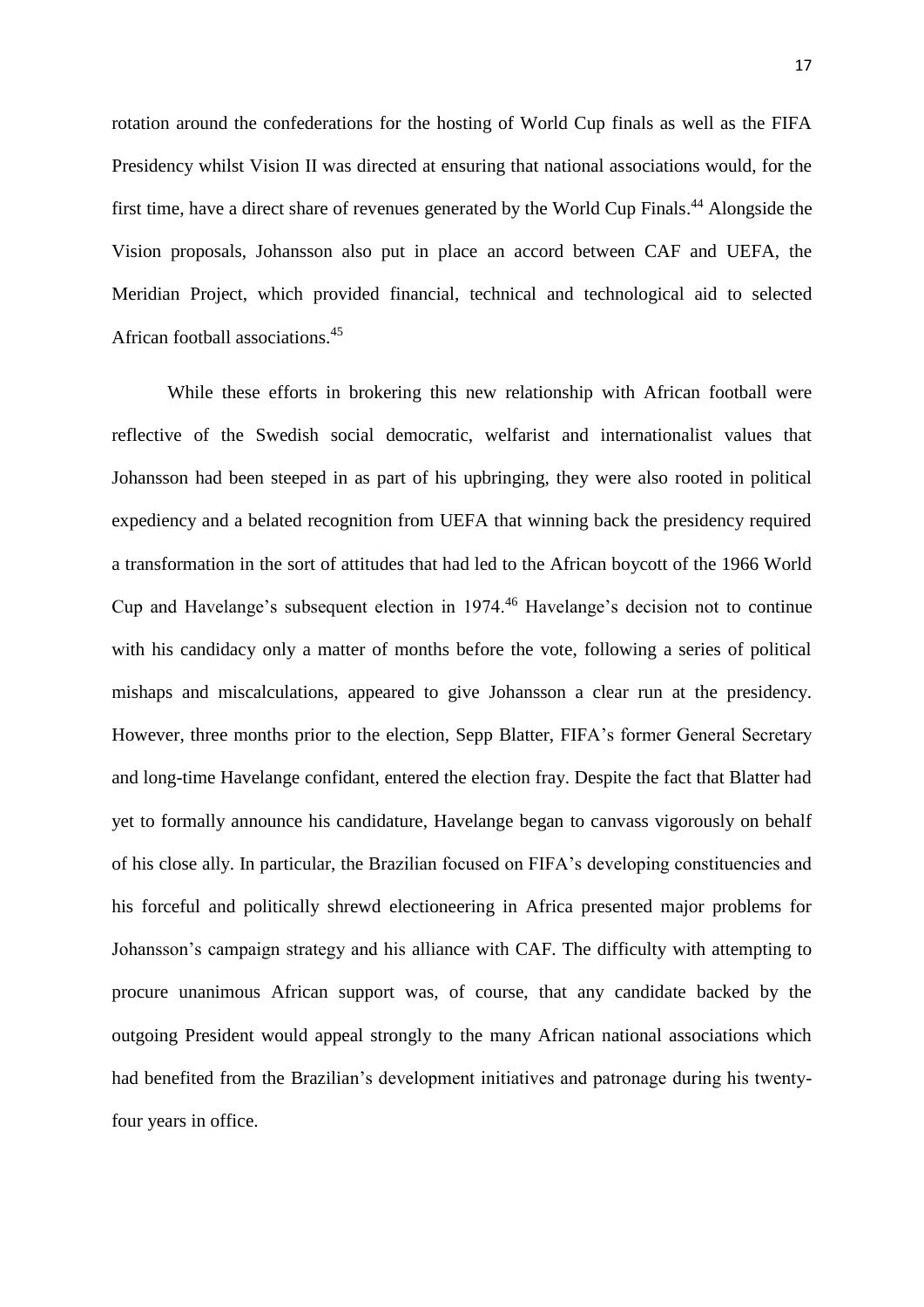rotation around the confederations for the hosting of World Cup finals as well as the FIFA Presidency whilst Vision II was directed at ensuring that national associations would, for the first time, have a direct share of revenues generated by the World Cup Finals.<sup>44</sup> Alongside the Vision proposals, Johansson also put in place an accord between CAF and UEFA, the Meridian Project, which provided financial, technical and technological aid to selected African football associations. 45

While these efforts in brokering this new relationship with African football were reflective of the Swedish social democratic, welfarist and internationalist values that Johansson had been steeped in as part of his upbringing, they were also rooted in political expediency and a belated recognition from UEFA that winning back the presidency required a transformation in the sort of attitudes that had led to the African boycott of the 1966 World Cup and Havelange's subsequent election in 1974.<sup>46</sup> Havelange's decision not to continue with his candidacy only a matter of months before the vote, following a series of political mishaps and miscalculations, appeared to give Johansson a clear run at the presidency. However, three months prior to the election, Sepp Blatter, FIFA's former General Secretary and long-time Havelange confidant, entered the election fray. Despite the fact that Blatter had yet to formally announce his candidature, Havelange began to canvass vigorously on behalf of his close ally. In particular, the Brazilian focused on FIFA's developing constituencies and his forceful and politically shrewd electioneering in Africa presented major problems for Johansson's campaign strategy and his alliance with CAF. The difficulty with attempting to procure unanimous African support was, of course, that any candidate backed by the outgoing President would appeal strongly to the many African national associations which had benefited from the Brazilian's development initiatives and patronage during his twentyfour years in office.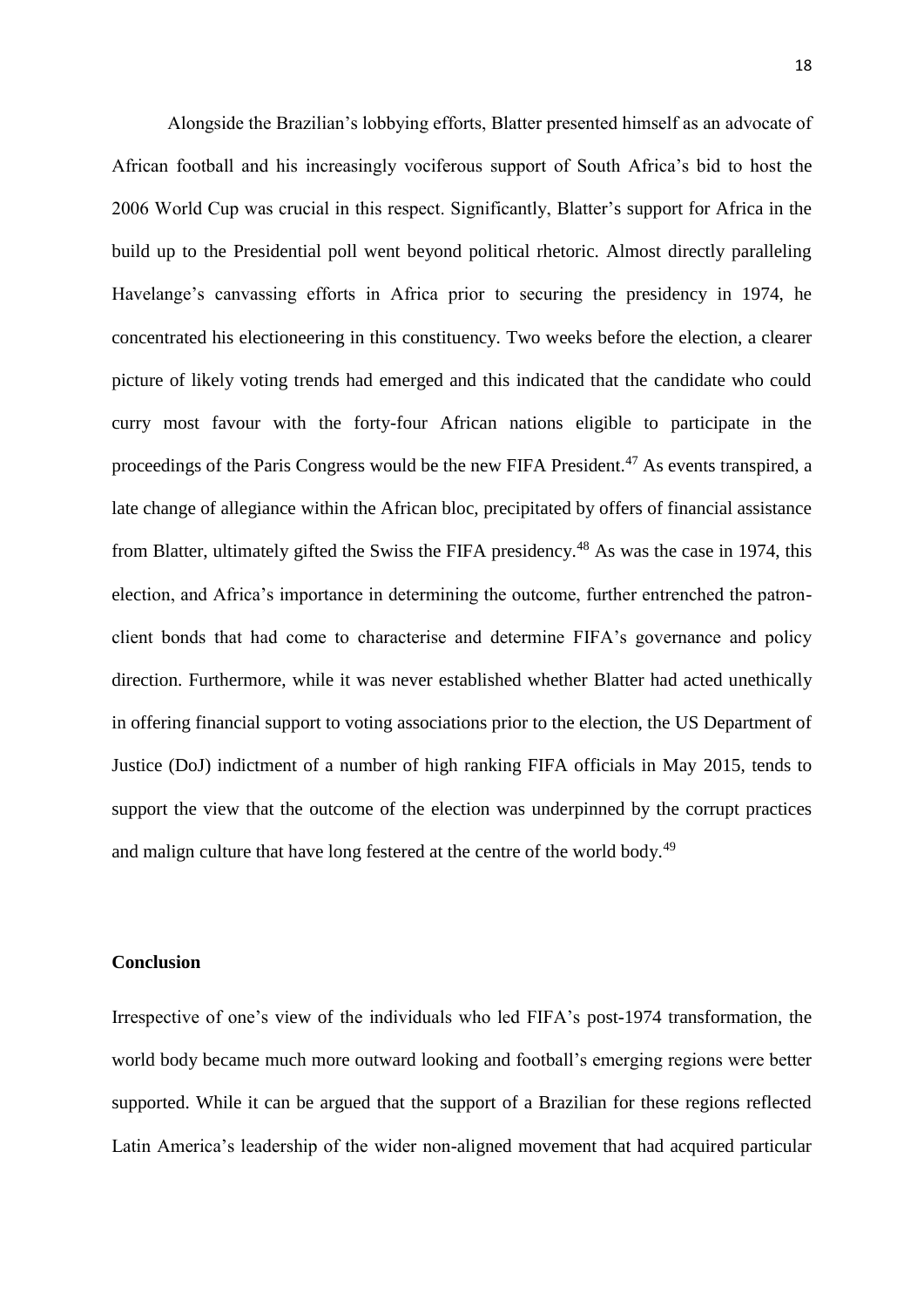Alongside the Brazilian's lobbying efforts, Blatter presented himself as an advocate of African football and his increasingly vociferous support of South Africa's bid to host the 2006 World Cup was crucial in this respect. Significantly, Blatter's support for Africa in the build up to the Presidential poll went beyond political rhetoric. Almost directly paralleling Havelange's canvassing efforts in Africa prior to securing the presidency in 1974, he concentrated his electioneering in this constituency. Two weeks before the election, a clearer picture of likely voting trends had emerged and this indicated that the candidate who could curry most favour with the forty-four African nations eligible to participate in the proceedings of the Paris Congress would be the new FIFA President.<sup>47</sup> As events transpired, a late change of allegiance within the African bloc, precipitated by offers of financial assistance from Blatter, ultimately gifted the Swiss the FIFA presidency.<sup>48</sup> As was the case in 1974, this election, and Africa's importance in determining the outcome, further entrenched the patronclient bonds that had come to characterise and determine FIFA's governance and policy direction. Furthermore, while it was never established whether Blatter had acted unethically in offering financial support to voting associations prior to the election, the US Department of Justice (DoJ) indictment of a number of high ranking FIFA officials in May 2015, tends to support the view that the outcome of the election was underpinned by the corrupt practices and malign culture that have long festered at the centre of the world body.<sup>49</sup>

## **Conclusion**

Irrespective of one's view of the individuals who led FIFA's post-1974 transformation, the world body became much more outward looking and football's emerging regions were better supported. While it can be argued that the support of a Brazilian for these regions reflected Latin America's leadership of the wider non-aligned movement that had acquired particular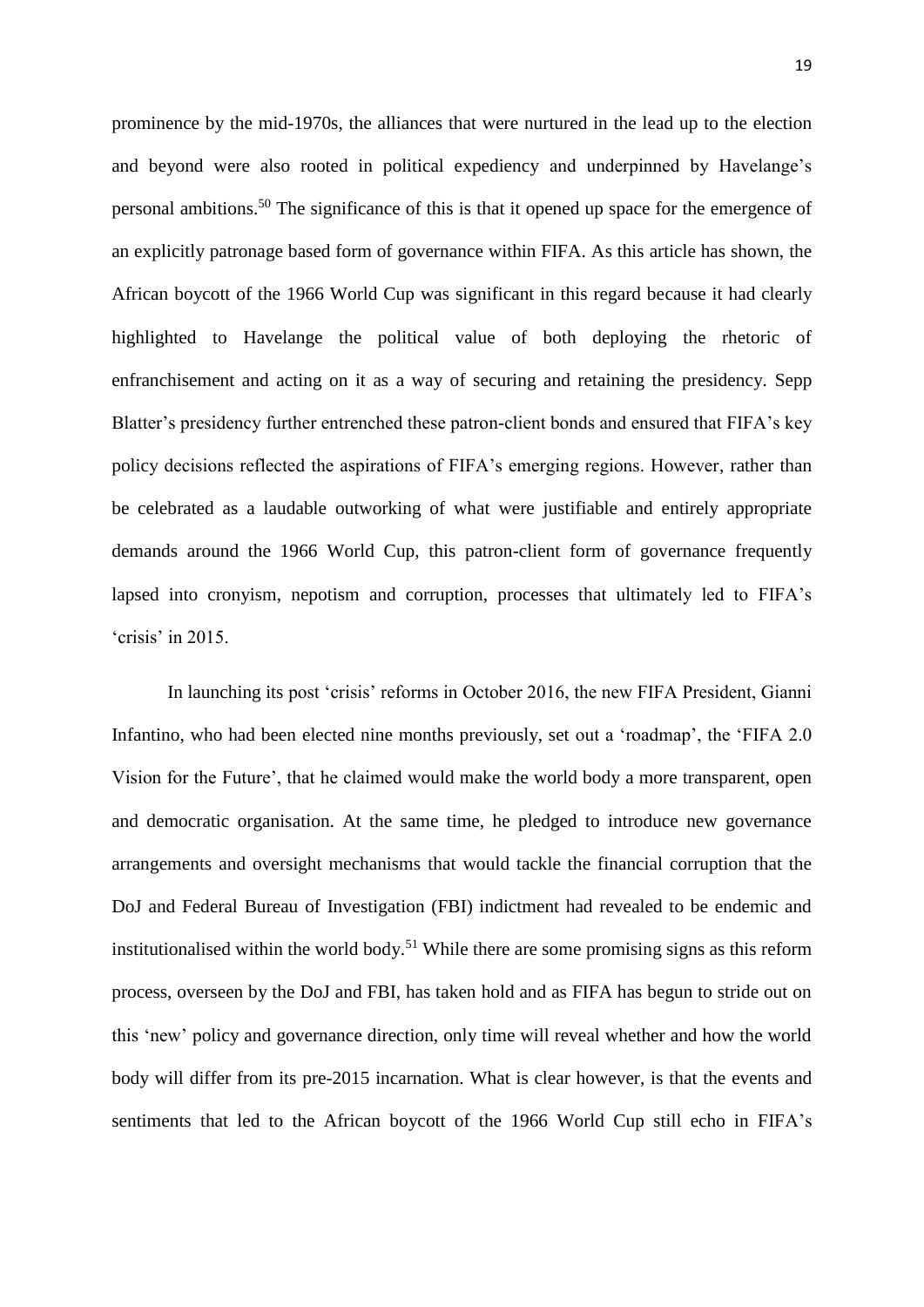prominence by the mid-1970s, the alliances that were nurtured in the lead up to the election and beyond were also rooted in political expediency and underpinned by Havelange's personal ambitions.<sup>50</sup> The significance of this is that it opened up space for the emergence of an explicitly patronage based form of governance within FIFA. As this article has shown, the African boycott of the 1966 World Cup was significant in this regard because it had clearly highlighted to Havelange the political value of both deploying the rhetoric of enfranchisement and acting on it as a way of securing and retaining the presidency. Sepp Blatter's presidency further entrenched these patron-client bonds and ensured that FIFA's key policy decisions reflected the aspirations of FIFA's emerging regions. However, rather than be celebrated as a laudable outworking of what were justifiable and entirely appropriate demands around the 1966 World Cup, this patron-client form of governance frequently lapsed into cronyism, nepotism and corruption, processes that ultimately led to FIFA's 'crisis' in 2015.

In launching its post 'crisis' reforms in October 2016, the new FIFA President, Gianni Infantino, who had been elected nine months previously, set out a 'roadmap', the 'FIFA 2.0 Vision for the Future', that he claimed would make the world body a more transparent, open and democratic organisation. At the same time, he pledged to introduce new governance arrangements and oversight mechanisms that would tackle the financial corruption that the DoJ and Federal Bureau of Investigation (FBI) indictment had revealed to be endemic and institutionalised within the world body.<sup>51</sup> While there are some promising signs as this reform process, overseen by the DoJ and FBI, has taken hold and as FIFA has begun to stride out on this 'new' policy and governance direction, only time will reveal whether and how the world body will differ from its pre-2015 incarnation. What is clear however, is that the events and sentiments that led to the African boycott of the 1966 World Cup still echo in FIFA's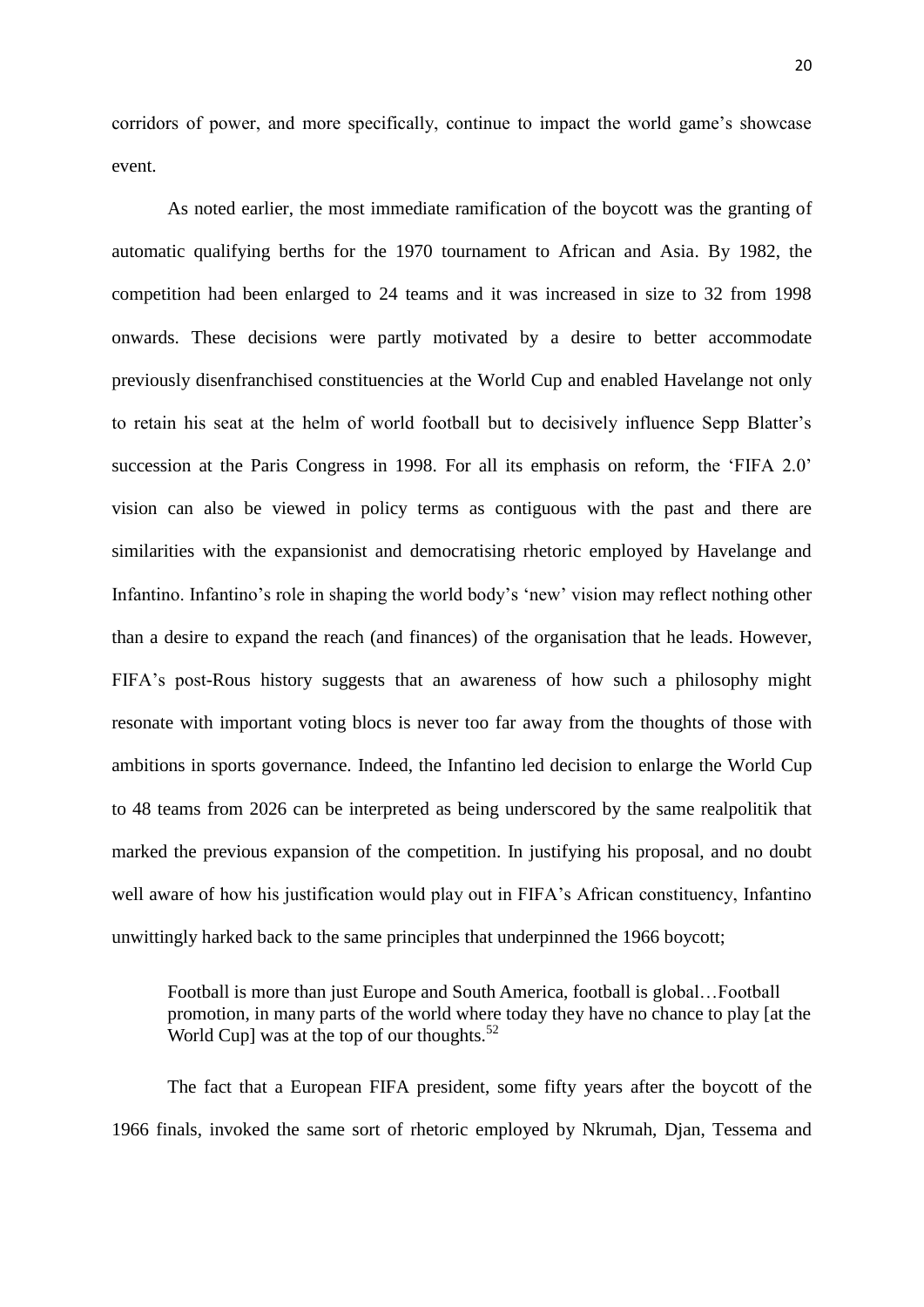corridors of power, and more specifically, continue to impact the world game's showcase event.

As noted earlier, the most immediate ramification of the boycott was the granting of automatic qualifying berths for the 1970 tournament to African and Asia. By 1982, the competition had been enlarged to 24 teams and it was increased in size to 32 from 1998 onwards. These decisions were partly motivated by a desire to better accommodate previously disenfranchised constituencies at the World Cup and enabled Havelange not only to retain his seat at the helm of world football but to decisively influence Sepp Blatter's succession at the Paris Congress in 1998. For all its emphasis on reform, the 'FIFA 2.0' vision can also be viewed in policy terms as contiguous with the past and there are similarities with the expansionist and democratising rhetoric employed by Havelange and Infantino. Infantino's role in shaping the world body's 'new' vision may reflect nothing other than a desire to expand the reach (and finances) of the organisation that he leads. However, FIFA's post-Rous history suggests that an awareness of how such a philosophy might resonate with important voting blocs is never too far away from the thoughts of those with ambitions in sports governance. Indeed, the Infantino led decision to enlarge the World Cup to 48 teams from 2026 can be interpreted as being underscored by the same realpolitik that marked the previous expansion of the competition. In justifying his proposal, and no doubt well aware of how his justification would play out in FIFA's African constituency, Infantino unwittingly harked back to the same principles that underpinned the 1966 boycott;

Football is more than just Europe and South America, football is global…Football promotion, in many parts of the world where today they have no chance to play [at the World Cup] was at the top of our thoughts. $52$ 

The fact that a European FIFA president, some fifty years after the boycott of the 1966 finals, invoked the same sort of rhetoric employed by Nkrumah, Djan, Tessema and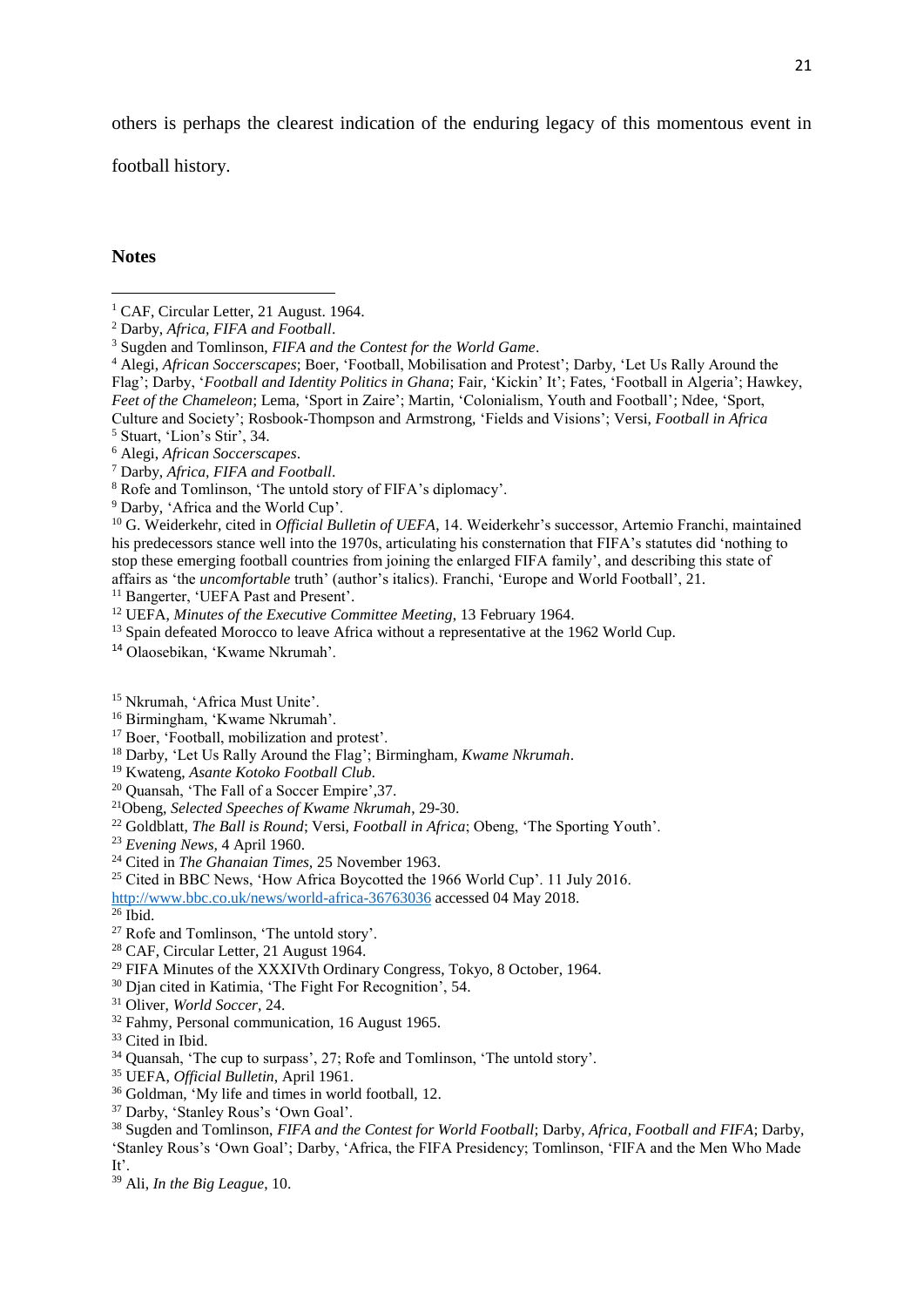others is perhaps the clearest indication of the enduring legacy of this momentous event in

football history.

### **Notes**

 Alegi, *African Soccerscapes*; Boer, 'Football, Mobilisation and Protest'; Darby, 'Let Us Rally Around the Flag'; Darby, '*Football and Identity Politics in Ghana*; Fair, 'Kickin' It'; Fates, 'Football in Algeria'; Hawkey, *Feet of the Chameleon*; Lema, 'Sport in Zaire'; Martin, 'Colonialism, Youth and Football'; Ndee, 'Sport, Culture and Society'; Rosbook-Thompson and Armstrong, 'Fields and Visions'; Versi, *Football in Africa* Stuart, 'Lion's Stir', 34.

Darby, 'Africa and the World Cup'.

<sup>10</sup> G. Weiderkehr, cited in *Official Bulletin of UEFA*, 14. Weiderkehr's successor, Artemio Franchi, maintained his predecessors stance well into the 1970s, articulating his consternation that FIFA's statutes did 'nothing to stop these emerging football countries from joining the enlarged FIFA family', and describing this state of affairs as 'the *uncomfortable* truth' (author's italics). Franchi, 'Europe and World Football', 21.

<sup>11</sup> Bangerter, 'UEFA Past and Present'.

- <sup>13</sup> Spain defeated Morocco to leave Africa without a representative at the 1962 World Cup.
- Olaosebikan, 'Kwame Nkrumah'.

- Birmingham, 'Kwame Nkrumah'.
- <sup>17</sup> Boer, 'Football, mobilization and protest'.
- Darby, 'Let Us Rally Around the Flag'; Birmingham, *Kwame Nkrumah*.
- Kwateng, *Asante Kotoko Football Club.*
- Quansah, 'The Fall of a Soccer Empire',37.
- Obeng, *Selected Speeches of Kwame Nkrumah*, 29-30.
- <sup>22</sup> Goldblatt, *The Ball is Round*; Versi, *Football in Africa*; Obeng, 'The Sporting Youth'.
- *Evening News,* 4 April 1960.
- Cited in *The Ghanaian Times,* 25 November 1963.
- <sup>25</sup> Cited in BBC News, 'How Africa Boycotted the 1966 World Cup'. 11 July 2016.

<http://www.bbc.co.uk/news/world-africa-36763036> accessed 04 May 2018.

- Ibid.
- Rofe and Tomlinson, 'The untold story'.
- CAF, Circular Letter, 21 August 1964.
- FIFA Minutes of the XXXIVth Ordinary Congress, Tokyo, 8 October, 1964.
- Djan cited in Katimia, 'The Fight For Recognition', 54.
- Oliver, *World Soccer,* 24.
- Fahmy, Personal communication, 16 August 1965.
- <sup>33</sup> Cited in Ibid.
- Quansah, 'The cup to surpass', 27; Rofe and Tomlinson, 'The untold story'.
- UEFA, *Official Bulletin*, April 1961.
- Goldman, 'My life and times in world football, 12.
- Darby, 'Stanley Rous's 'Own Goal'.
- Sugden and Tomlinson, *FIFA and the Contest for World Football*; Darby, *Africa, Football and FIFA*; Darby,
- 'Stanley Rous's 'Own Goal'; Darby, 'Africa, the FIFA Presidency; Tomlinson, 'FIFA and the Men Who Made It'.
- Ali, *In the Big League*, 10.

<sup>&</sup>lt;sup>1</sup> CAF, Circular Letter, 21 August. 1964.

Darby, *Africa, FIFA and Football*.

Sugden and Tomlinson, *FIFA and the Contest for the World Game*.

Alegi, *African Soccerscapes*.

Darby, *Africa, FIFA and Football*.

Rofe and Tomlinson, 'The untold story of FIFA's diplomacy'.

UEFA, *Minutes of the Executive Committee Meeting*, 13 February 1964.

Nkrumah, 'Africa Must Unite'.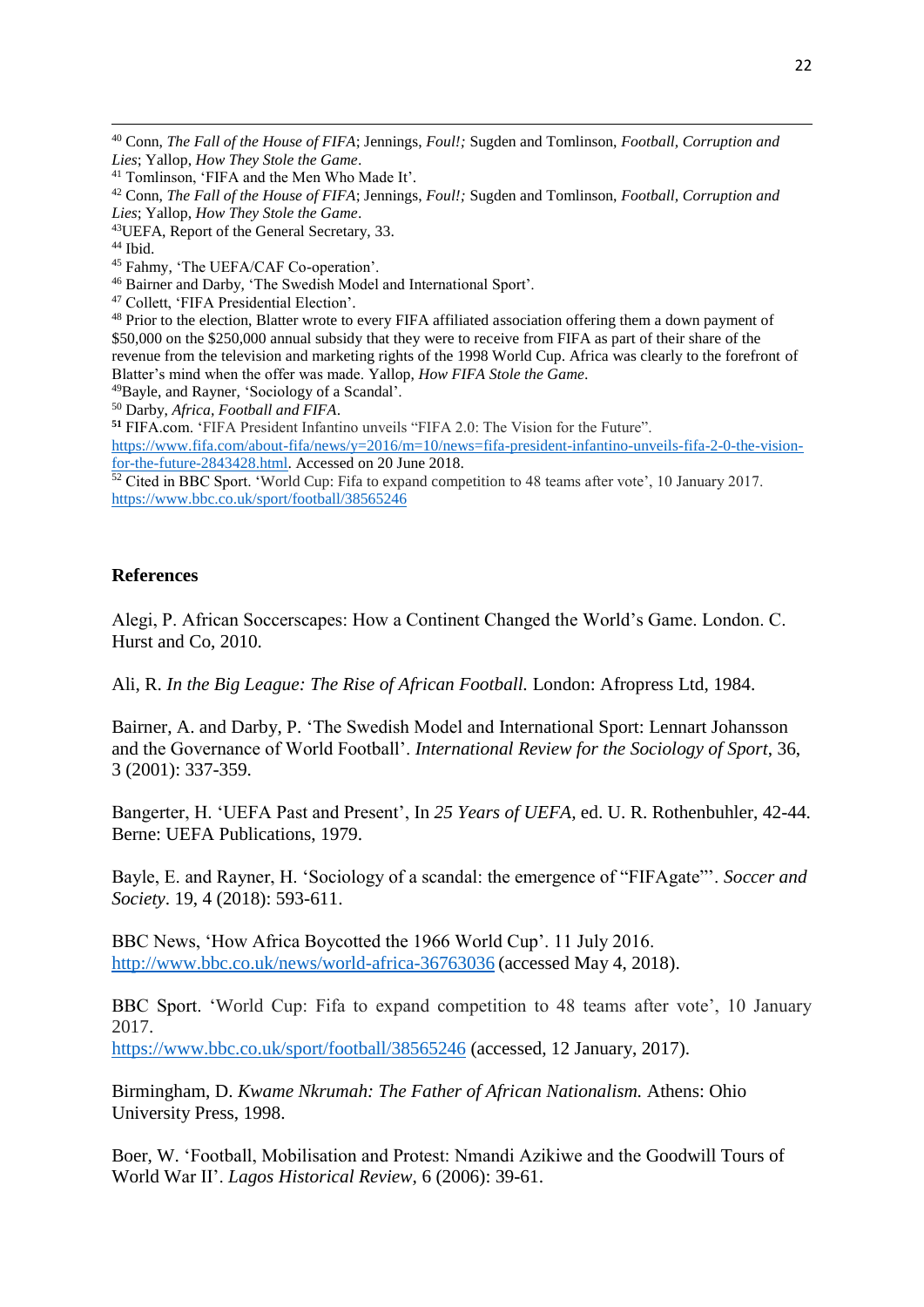**.** 

- <sup>45</sup> Fahmy, 'The UEFA/CAF Co-operation'.
- <sup>46</sup> Bairner and Darby, 'The Swedish Model and International Sport'.
- <sup>47</sup> Collett, 'FIFA Presidential Election'.

<sup>48</sup> Prior to the election, Blatter wrote to every FIFA affiliated association offering them a down payment of \$50,000 on the \$250,000 annual subsidy that they were to receive from FIFA as part of their share of the revenue from the television and marketing rights of the 1998 World Cup. Africa was clearly to the forefront of Blatter's mind when the offer was made. Yallop, *How FIFA Stole the Game*.

<sup>49</sup>Bayle, and Rayner, 'Sociology of a Scandal'.

<sup>50</sup> Darby, *Africa, Football and FIFA*.

**<sup>51</sup>** FIFA.com. 'FIFA President Infantino unveils "FIFA 2.0: The Vision for the Future".

[https://www.fifa.com/about-fifa/news/y=2016/m=10/news=fifa-president-infantino-unveils-fifa-2-0-the-vision](https://www.fifa.com/about-fifa/news/y=2016/m=10/news=fifa-president-infantino-unveils-fifa-2-0-the-vision-for-the-future-2843428.html)[for-the-future-2843428.html.](https://www.fifa.com/about-fifa/news/y=2016/m=10/news=fifa-president-infantino-unveils-fifa-2-0-the-vision-for-the-future-2843428.html) Accessed on 20 June 2018.

<sup>52</sup> Cited in BBC Sport. 'World Cup: Fifa to expand competition to 48 teams after vote', 10 January 2017. <https://www.bbc.co.uk/sport/football/38565246>

# **References**

Alegi, P. African Soccerscapes: How a Continent Changed the World's Game. London. C. Hurst and Co, 2010.

Ali, R. *In the Big League: The Rise of African Football.* London: Afropress Ltd, 1984.

Bairner, A. and Darby, P. 'The Swedish Model and International Sport: Lennart Johansson and the Governance of World Football'. *International Review for the Sociology of Sport*, 36, 3 (2001): 337-359.

Bangerter, H. 'UEFA Past and Present', In *25 Years of UEFA,* ed. U. R. Rothenbuhler, 42-44. Berne: UEFA Publications, 1979.

Bayle, E. and Rayner, H. 'Sociology of a scandal: the emergence of "FIFAgate"'. *Soccer and Society*. 19, 4 (2018): 593-611.

BBC News, 'How Africa Boycotted the 1966 World Cup'. 11 July 2016. <http://www.bbc.co.uk/news/world-africa-36763036> (accessed May 4, 2018).

BBC Sport. 'World Cup: Fifa to expand competition to 48 teams after vote', 10 January 2017.

<https://www.bbc.co.uk/sport/football/38565246> (accessed, 12 January, 2017).

Birmingham, D. *Kwame Nkrumah: The Father of African Nationalism.* Athens: Ohio University Press, 1998.

Boer, W. 'Football, Mobilisation and Protest: Nmandi Azikiwe and the Goodwill Tours of World War II'. *Lagos Historical Review,* 6 (2006): 39-61.

<sup>40</sup> Conn, *The Fall of the House of FIFA*; Jennings, *Foul!;* Sugden and Tomlinson, *Football, Corruption and Lies*; Yallop, *How They Stole the Game*.

<sup>41</sup> Tomlinson, 'FIFA and the Men Who Made It'.

<sup>42</sup> Conn, *The Fall of the House of FIFA*; Jennings, *Foul!;* Sugden and Tomlinson, *Football, Corruption and Lies*; Yallop, *How They Stole the Game*.

<sup>43</sup>UEFA, Report of the General Secretary, 33.

<sup>44</sup> Ibid.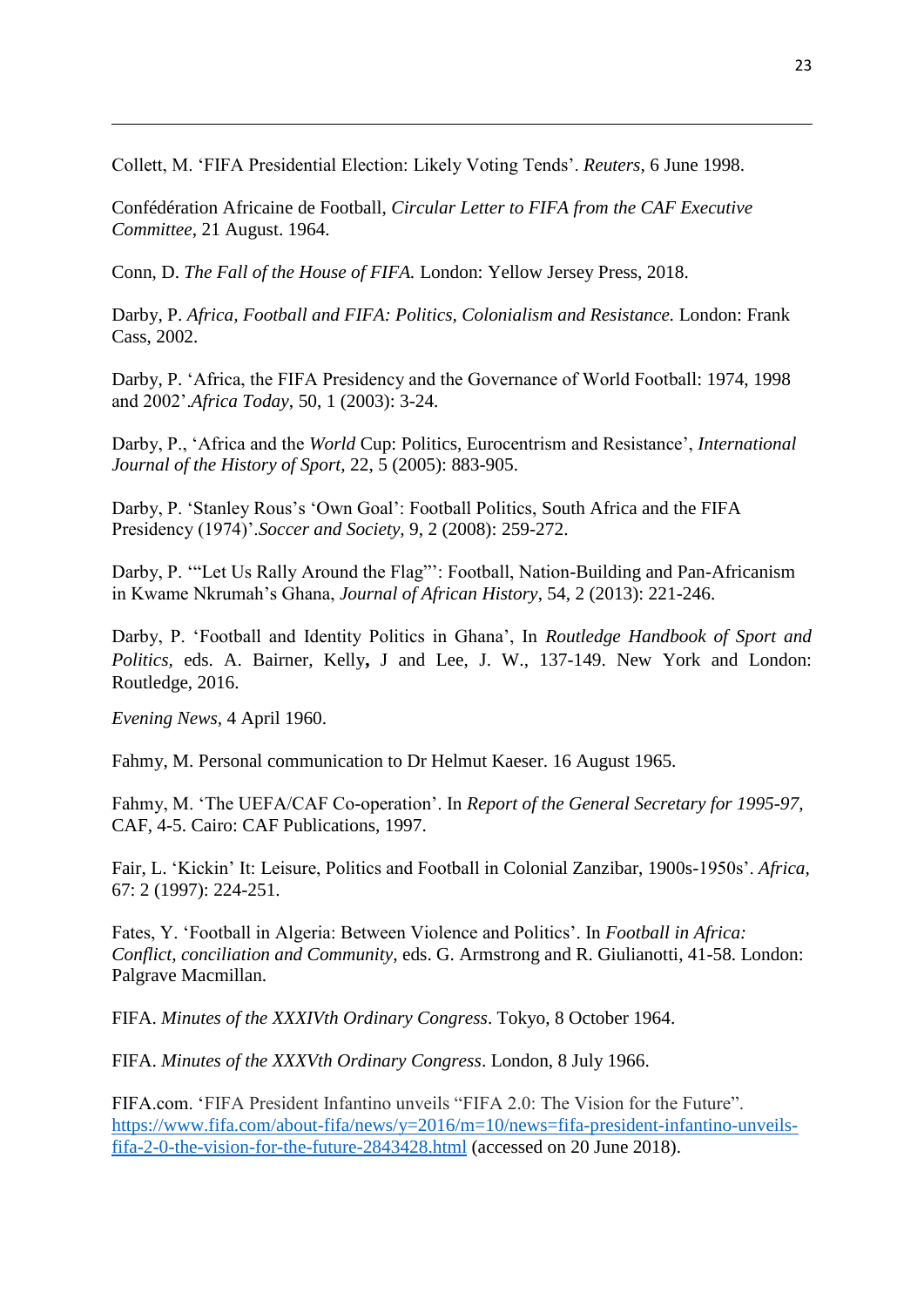Collett, M. 'FIFA Presidential Election: Likely Voting Tends'. *Reuters*, 6 June 1998.

Confédération Africaine de Football, *Circular Letter to FIFA from the CAF Executive Committee*, 21 August. 1964.

Conn, D. *The Fall of the House of FIFA.* London: Yellow Jersey Press, 2018.

Darby, P. *Africa, Football and FIFA: Politics, Colonialism and Resistance.* London: Frank Cass, 2002.

Darby, P. 'Africa, the FIFA Presidency and the Governance of World Football: 1974, 1998 and 2002'.*Africa Today*, 50, 1 (2003): 3-24.

Darby, P., 'Africa and the *World* Cup: Politics, Eurocentrism and Resistance', *International Journal of the History of Sport,* 22, 5 (2005): 883-905.

Darby, P. 'Stanley Rous's 'Own Goal': Football Politics, South Africa and the FIFA Presidency (1974)'.*Soccer and Society,* 9, 2 (2008): 259-272.

Darby, P. "Let Us Rally Around the Flag"': Football, Nation-Building and Pan-Africanism in Kwame Nkrumah's Ghana, *Journal of African History*, 54, 2 (2013): 221-246.

Darby, P. 'Football and Identity Politics in Ghana', In *Routledge Handbook of Sport and Politics,* eds. A. Bairner, Kelly**,** J and Lee, J. W., 137-149. New York and London: Routledge, 2016.

*Evening News,* 4 April 1960.

**.** 

Fahmy, M. Personal communication to Dr Helmut Kaeser. 16 August 1965.

Fahmy, M. 'The UEFA/CAF Co-operation'. In *Report of the General Secretary for 1995-97,*  CAF, 4-5. Cairo: CAF Publications, 1997.

Fair, L. 'Kickin' It: Leisure, Politics and Football in Colonial Zanzibar, 1900s-1950s'. *Africa,* 67: 2 (1997): 224-251.

Fates, Y. 'Football in Algeria: Between Violence and Politics'. In *Football in Africa: Conflict, conciliation and Community*, eds. G. Armstrong and R. Giulianotti, 41-58. London: Palgrave Macmillan.

FIFA. *Minutes of the XXXIVth Ordinary Congress*. Tokyo, 8 October 1964.

FIFA. *Minutes of the XXXVth Ordinary Congress*. London, 8 July 1966.

FIFA.com. 'FIFA President Infantino unveils "FIFA 2.0: The Vision for the Future". [https://www.fifa.com/about-fifa/news/y=2016/m=10/news=fifa-president-infantino-unveils](https://www.fifa.com/about-fifa/news/y=2016/m=10/news=fifa-president-infantino-unveils-fifa-2-0-the-vision-for-the-future-2843428.html)[fifa-2-0-the-vision-for-the-future-2843428.html](https://www.fifa.com/about-fifa/news/y=2016/m=10/news=fifa-president-infantino-unveils-fifa-2-0-the-vision-for-the-future-2843428.html) (accessed on 20 June 2018).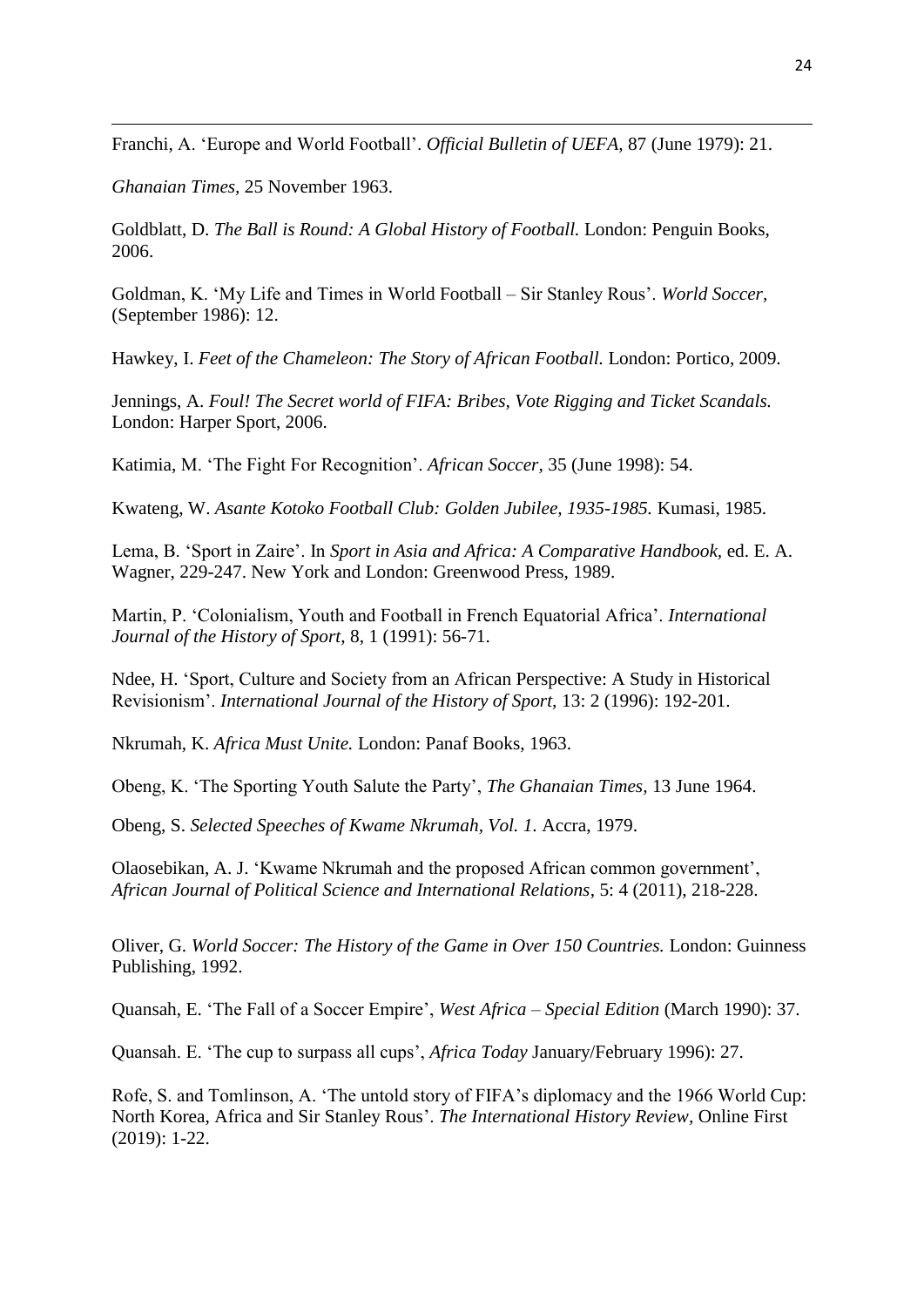Franchi, A. 'Europe and World Football'. *Official Bulletin of UEFA,* 87 (June 1979): 21.

*Ghanaian Times,* 25 November 1963.

**.** 

Goldblatt, D. *The Ball is Round: A Global History of Football.* London: Penguin Books, 2006.

Goldman, K. 'My Life and Times in World Football – Sir Stanley Rous'. *World Soccer,*  (September 1986): 12.

Hawkey, I. *Feet of the Chameleon: The Story of African Football.* London: Portico, 2009.

Jennings, A. *Foul! The Secret world of FIFA: Bribes, Vote Rigging and Ticket Scandals.* London: Harper Sport, 2006.

Katimia, M. 'The Fight For Recognition'. *African Soccer,* 35 (June 1998): 54.

Kwateng, W. *Asante Kotoko Football Club: Golden Jubilee, 1935-1985.* Kumasi, 1985.

Lema, B. 'Sport in Zaire'. In *Sport in Asia and Africa: A Comparative Handbook,* ed. E. A. Wagner, 229-247. New York and London: Greenwood Press, 1989.

Martin, P. 'Colonialism, Youth and Football in French Equatorial Africa'. *International Journal of the History of Sport,* 8, 1 (1991): 56-71.

Ndee, H. 'Sport, Culture and Society from an African Perspective: A Study in Historical Revisionism'. *International Journal of the History of Sport,* 13: 2 (1996): 192-201.

Nkrumah, K. *Africa Must Unite.* London: Panaf Books, 1963.

Obeng, K. 'The Sporting Youth Salute the Party', *The Ghanaian Times,* 13 June 1964.

Obeng, S. *Selected Speeches of Kwame Nkrumah, Vol. 1.* Accra, 1979.

Olaosebikan, A. J. 'Kwame Nkrumah and the proposed African common government', *African Journal of Political Science and International Relations*, 5: 4 (2011), 218-228.

Oliver, G. *World Soccer: The History of the Game in Over 150 Countries.* London: Guinness Publishing, 1992.

Quansah, E. 'The Fall of a Soccer Empire', *West Africa – Special Edition* (March 1990): 37.

Quansah. E. 'The cup to surpass all cups', *Africa Today* January/February 1996): 27.

Rofe, S. and Tomlinson, A. 'The untold story of FIFA's diplomacy and the 1966 World Cup: North Korea, Africa and Sir Stanley Rous'. *The International History Review,* Online First (2019): 1-22.